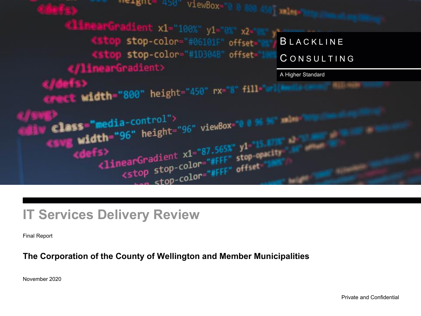

## **IT Services Delivery Review**

Final Report

### **The Corporation of the County of Wellington and Member Municipalities**

November 2020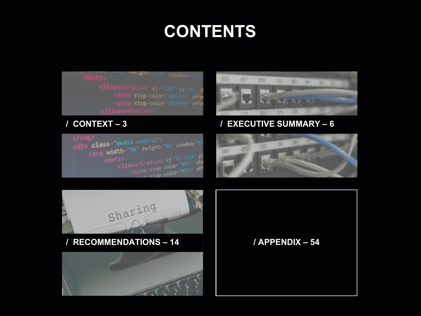# **CONTENTS**

meight="450" viewBox= (stop stop-color="#1D304) " offse

### **/ CONTEXT – 3**

elass="media-control"> ss=**"media**-control"><br>| **width**="96" height="96" viewBox=" En-<br>
<linearGradient x1="87.565%" y1<br>
<linearGradient x1="87.565%" y1<br>
<stop stop-color="#FFF" off stop-color="#FFF" off



### **/ EXECUTIVE SUMMARY – 6**





### **/ RECOMMENDATIONS – 14 / APPENDIX – 54**

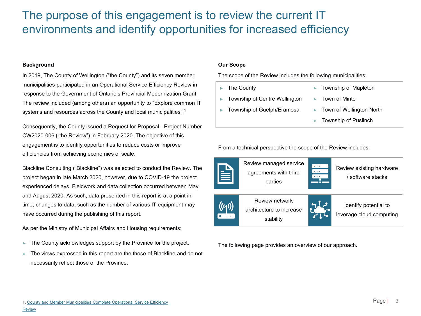### The purpose of this engagement is to review the current IT environments and identify opportunities for increased efficiency

#### **Background**

In 2019, The County of Wellington ("the County") and its seven member municipalities participated in an Operational Service Efficiency Review in response to the Government of Ontario's Provincial Modernization Grant. The review included (among others) an opportunity to "Explore common IT systems and resources across the County and local municipalities".<sup>1</sup>

Consequently, the County issued a Request for Proposal - Project Number CW2020-006 ("the Review") in February 2020. The objective of this engagement is to identify opportunities to reduce costs or improve efficiencies from achieving economies of scale.

Blackline Consulting ("Blackline") was selected to conduct the Review. The project began in late March 2020, however, due to COVID-19 the project experienced delays. Fieldwork and data collection occurred between May and August 2020. As such, data presented in this report is at a point in time, changes to data, such as the number of various IT equipment may have occurred during the publishing of this report.

As per the Ministry of Municipal Affairs and Housing requirements:

- The County acknowledges support by the Province for the project.
- The views expressed in this report are the those of Blackline and do not necessarily reflect those of the Province.

#### **Our Scope**

The scope of the Review includes the following municipalities:

- ► The County
- ► Township of Centre Wellington
- ► Township of Guelph/Eramosa
- ► Township of Mapleton
- ► Town of Minto
- Town of Wellington North
- ► Township of Puslinch

From a technical perspective the scope of the Review includes:



The following page provides an overview of our approach.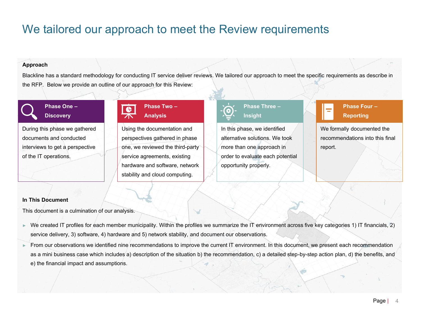### We tailored our approach to meet the Review requirements

#### **Approach**

Blackline has a standard methodology for conducting IT service deliver reviews. We tailored our approach to meet the specific requirements as describe in the RFP. Below we provide an outline of our approach for this Review:

### **Phase One – Discovery**

During this phase we gathered documents and conducted interviews to get a perspective of the IT operations.

### **Phase Two – Analysis**

Using the documentation and perspectives gathered in phase one, we reviewed the third-party service agreements, existing hardware and software, network stability and cloud computing.



# **Phase Three –**

In this phase, we identified alternative solutions. We took more than one approach in order to evaluate each potential opportunity properly.



We formally documented the recommendations into this final report.

#### **In This Document**

This document is a culmination of our analysis.

- ► We created IT profiles for each member municipality. Within the profiles we summarize the IT environment across five key categories 1) IT financials, 2) service delivery, 3) software, 4) hardware and 5) network stability, and document our observations.
- ► From our observations we identified nine recommendations to improve the current IT environment. In this document, we present each recommendation as a mini business case which includes a) description of the situation b) the recommendation, c) a detailed step-by-step action plan, d) the benefits, and e) the financial impact and assumptions.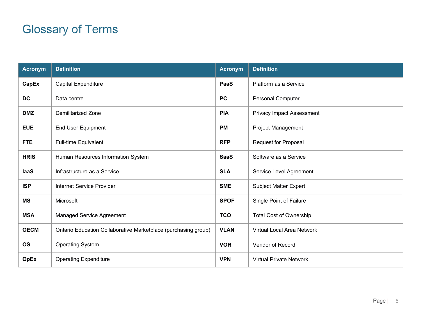## Glossary of Terms

| <b>Acronym</b> | <b>Definition</b>                                              | <b>Acronym</b> | <b>Definition</b>                 |
|----------------|----------------------------------------------------------------|----------------|-----------------------------------|
| CapEx          | <b>Capital Expenditure</b>                                     | PaaS           | Platform as a Service             |
| <b>DC</b>      | Data centre                                                    | <b>PC</b>      | <b>Personal Computer</b>          |
| <b>DMZ</b>     | Demilitarized Zone                                             | <b>PIA</b>     | <b>Privacy Impact Assessment</b>  |
| <b>EUE</b>     | End User Equipment                                             | <b>PM</b>      | Project Management                |
| <b>FTE</b>     | Full-time Equivalent                                           | <b>RFP</b>     | <b>Request for Proposal</b>       |
| <b>HRIS</b>    | Human Resources Information System                             | <b>SaaS</b>    | Software as a Service             |
| laaS           | Infrastructure as a Service                                    | <b>SLA</b>     | Service Level Agreement           |
| <b>ISP</b>     | Internet Service Provider                                      | <b>SME</b>     | Subject Matter Expert             |
| <b>MS</b>      | Microsoft                                                      | <b>SPOF</b>    | Single Point of Failure           |
| <b>MSA</b>     | Managed Service Agreement                                      | <b>TCO</b>     | <b>Total Cost of Ownership</b>    |
| <b>OECM</b>    | Ontario Education Collaborative Marketplace (purchasing group) | <b>VLAN</b>    | <b>Virtual Local Area Network</b> |
| <b>OS</b>      | <b>Operating System</b>                                        | <b>VOR</b>     | Vendor of Record                  |
| <b>OpEx</b>    | <b>Operating Expenditure</b>                                   | <b>VPN</b>     | <b>Virtual Private Network</b>    |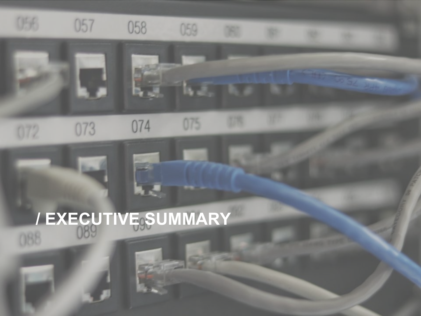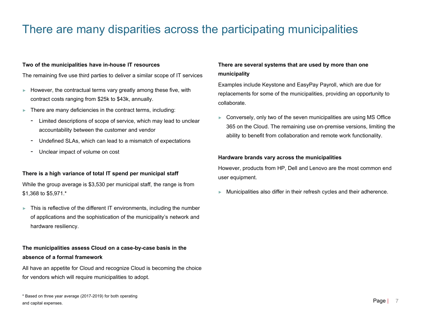### There are many disparities across the participating municipalities

#### **Two of the municipalities have in-house IT resources**

The remaining five use third parties to deliver a similar scope of IT services

- $\blacktriangleright$  However, the contractual terms vary greatly among these five, with contract costs ranging from \$25k to \$43k, annually.
- $\blacktriangleright$  There are many deficiencies in the contract terms, including:
	- Limited descriptions of scope of service, which may lead to unclear accountability between the customer and vendor
	- Undefined SLAs, which can lead to a mismatch of expectations
	- Unclear impact of volume on cost

#### **There is a high variance of total IT spend per municipal staff**

While the group average is \$3,530 per municipal staff, the range is from \$1,368 to \$5,971.\*

 $\blacktriangleright$  This is reflective of the different IT environments, including the number of applications and the sophistication of the municipality's network and hardware resiliency.

#### **The municipalities assess Cloud on a case-by-case basis in the absence of a formal framework**

All have an appetite for Cloud and recognize Cloud is becoming the choice for vendors which will require municipalities to adopt.

#### **There are several systems that are used by more than one municipality**

Examples include Keystone and EasyPay Payroll, which are due for replacements for some of the municipalities, providing an opportunity to collaborate.

► Conversely, only two of the seven municipalities are using MS Office 365 on the Cloud. The remaining use on-premise versions, limiting the ability to benefit from collaboration and remote work functionality.

#### **Hardware brands vary across the municipalities**

However, products from HP, Dell and Lenovo are the most common end user equipment.

► Municipalities also differ in their refresh cycles and their adherence.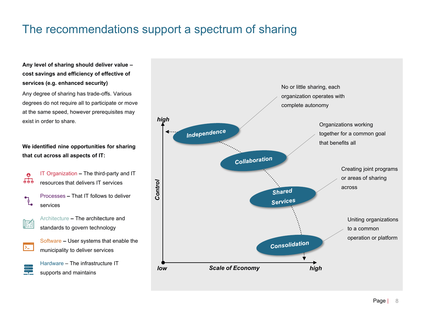### The recommendations support a spectrum of sharing

#### **Any level of sharing should deliver value – cost savings and efficiency of effective of services (e.g. enhanced security)**

Any degree of sharing has trade-offs. Various degrees do not require all to participate or move at the same speed, however prerequisites may exist in order to share.

**We identified nine opportunities for sharing that cut across all aspects of IT:**

- IT Organization **–** The third-party and IT  $\bullet$  $\overline{666}$ resources that delivers IT services Processes**–** That IT follows to deliver  $\mathbf{L}$ services
	- Architecture **–** The architecture and standards to govern technology
- $\sum$

<u>s</u>

医自

Software **–** User systems that enable the municipality to deliver services

Hardware– The infrastructure IT supports and maintains

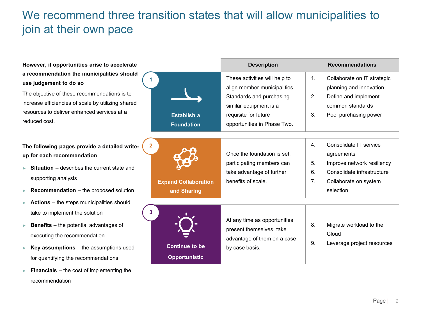### We recommend three transition states that will allow municipalities to join at their own pace

| However, if opportunities arise to accelerate                                                                                                                                                                                                                                  |                                               | <b>Description</b>                                                                                                                                                         |                            | <b>Recommendations</b>                                                                                                                 |
|--------------------------------------------------------------------------------------------------------------------------------------------------------------------------------------------------------------------------------------------------------------------------------|-----------------------------------------------|----------------------------------------------------------------------------------------------------------------------------------------------------------------------------|----------------------------|----------------------------------------------------------------------------------------------------------------------------------------|
| a recommendation the municipalities should<br>use judgement to do so<br>The objective of these recommendations is to<br>increase efficiencies of scale by utilizing shared<br>resources to deliver enhanced services at a<br>reduced cost.                                     | <b>Establish a</b><br><b>Foundation</b>       | These activities will help to<br>align member municipalities.<br>Standards and purchasing<br>similar equipment is a<br>requisite for future<br>opportunities in Phase Two. | $\mathbf{1}$ .<br>2.<br>3. | Collaborate on IT strategic<br>planning and innovation<br>Define and implement<br>common standards<br>Pool purchasing power            |
| $\mathbf{2}$<br>The following pages provide a detailed write-<br>up for each recommendation<br><b>Situation</b> – describes the current state and<br>supporting analysis<br><b>Recommendation</b> $-$ the proposed solution                                                    | <b>Expand Collaboration</b><br>and Sharing    | Once the foundation is set,<br>participating members can<br>take advantage of further<br>benefits of scale.                                                                | 4.<br>5.<br>6.<br>7.       | Consolidate IT service<br>agreements<br>Improve network resiliency<br>Consolidate infrastructure<br>Collaborate on system<br>selection |
| <b>Actions</b> – the steps municipalities should<br>3<br>take to implement the solution<br><b>Benefits</b> $-$ the potential advantages of<br>ь<br>executing the recommendation<br><b>Key assumptions</b> $-$ the assumptions used<br>ь<br>for quantifying the recommendations | <b>Continue to be</b><br><b>Opportunistic</b> | At any time as opportunities<br>present themselves, take<br>advantage of them on a case<br>by case basis.                                                                  | 8.<br>9.                   | Migrate workload to the<br>Cloud<br>Leverage project resources                                                                         |

► **Financials** – the cost of implementing the

recommendation

Page | 9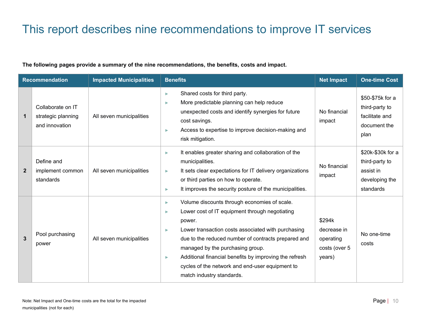### This report describes nine recommendations to improve IT services

#### **The following pages provide a summary of the nine recommendations, the benefits, costs and impact.**

| <b>Recommendation</b> |                                                           | <b>Impacted Municipalities</b> | <b>Benefits</b>                                                                                                                                                                                                                                                                                                                                                                                                         | <b>Net Impact</b>                                             | <b>One-time Cost</b>                                                            |
|-----------------------|-----------------------------------------------------------|--------------------------------|-------------------------------------------------------------------------------------------------------------------------------------------------------------------------------------------------------------------------------------------------------------------------------------------------------------------------------------------------------------------------------------------------------------------------|---------------------------------------------------------------|---------------------------------------------------------------------------------|
| $\mathbf 1$           | Collaborate on IT<br>strategic planning<br>and innovation | All seven municipalities       | Shared costs for third party.<br>×<br>More predictable planning can help reduce<br>ь<br>unexpected costs and identify synergies for future<br>cost savings.<br>Access to expertise to improve decision-making and<br>٠<br>risk mitigation.                                                                                                                                                                              | No financial<br>impact                                        | \$50-\$75k for a<br>third-party to<br>facilitate and<br>document the<br>plan    |
| $\overline{2}$        | Define and<br>implement common<br>standards               | All seven municipalities       | It enables greater sharing and collaboration of the<br>ь<br>municipalities.<br>It sets clear expectations for IT delivery organizations<br>Þ<br>or third parties on how to operate.<br>It improves the security posture of the municipalities.<br>×                                                                                                                                                                     | No financial<br>impact                                        | \$20k-\$30k for a<br>third-party to<br>assist in<br>developing the<br>standards |
| 3                     | Pool purchasing<br>power                                  | All seven municipalities       | Volume discounts through economies of scale.<br>×<br>Lower cost of IT equipment through negotiating<br>×<br>power.<br>Lower transaction costs associated with purchasing<br>ь<br>due to the reduced number of contracts prepared and<br>managed by the purchasing group.<br>Additional financial benefits by improving the refresh<br>×<br>cycles of the network and end-user equipment to<br>match industry standards. | \$294k<br>decrease in<br>operating<br>costs (over 5<br>years) | No one-time<br>costs                                                            |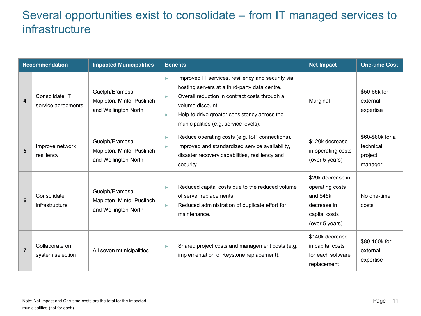### Several opportunities exist to consolidate – from IT managed services to infrastructure

|                  | <b>Recommendation</b>                | <b>Impacted Municipalities</b>                                       | <b>Benefits</b>                                                                                                                                                                                                                                                                  | <b>Net Impact</b>                                                                                   | <b>One-time Cost</b>                                |
|------------------|--------------------------------------|----------------------------------------------------------------------|----------------------------------------------------------------------------------------------------------------------------------------------------------------------------------------------------------------------------------------------------------------------------------|-----------------------------------------------------------------------------------------------------|-----------------------------------------------------|
| $\blacktriangle$ | Consolidate IT<br>service agreements | Guelph/Eramosa,<br>Mapleton, Minto, Puslinch<br>and Wellington North | Improved IT services, resiliency and security via<br>b.<br>hosting servers at a third-party data centre.<br>Overall reduction in contract costs through a<br>volume discount.<br>Help to drive greater consistency across the<br>$\geq$<br>municipalities (e.g. service levels). | Marginal                                                                                            | \$50-65k for<br>external<br>expertise               |
| 5                | Improve network<br>resiliency        | Guelph/Eramosa,<br>Mapleton, Minto, Puslinch<br>and Wellington North | Reduce operating costs (e.g. ISP connections).<br>×<br>Improved and standardized service availability,<br>disaster recovery capabilities, resiliency and<br>security.                                                                                                            | \$120k decrease<br>in operating costs<br>(over 5 years)                                             | \$60-\$80k for a<br>technical<br>project<br>manager |
| 6                | Consolidate<br>infrastructure        | Guelph/Eramosa,<br>Mapleton, Minto, Puslinch<br>and Wellington North | Reduced capital costs due to the reduced volume<br>of server replacements.<br>Reduced administration of duplicate effort for<br>×<br>maintenance.                                                                                                                                | \$29k decrease in<br>operating costs<br>and \$45k<br>decrease in<br>capital costs<br>(over 5 years) | No one-time<br>costs                                |
| $\overline{7}$   | Collaborate on<br>system selection   | All seven municipalities                                             | Shared project costs and management costs (e.g.<br>×<br>implementation of Keystone replacement).                                                                                                                                                                                 | \$140k decrease<br>in capital costs<br>for each software<br>replacement                             | \$80-100k for<br>external<br>expertise              |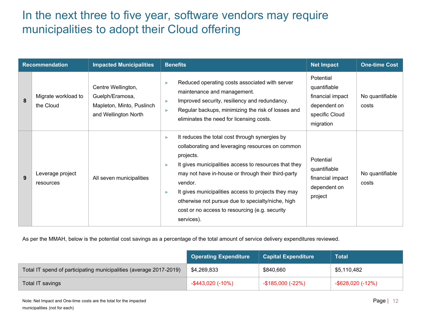### In the next three to five year, software vendors may require municipalities to adopt their Cloud offering

| <b>Recommendation</b> |                                  | <b>Impacted Municipalities</b>                                                             | <b>Net Impact</b><br><b>Benefits</b>                                                                                                                                                                                                                                                                                                                                                                                                                                                              | <b>One-time Cost</b>     |
|-----------------------|----------------------------------|--------------------------------------------------------------------------------------------|---------------------------------------------------------------------------------------------------------------------------------------------------------------------------------------------------------------------------------------------------------------------------------------------------------------------------------------------------------------------------------------------------------------------------------------------------------------------------------------------------|--------------------------|
| 8                     | Migrate workload to<br>the Cloud | Centre Wellington,<br>Guelph/Eramosa,<br>Mapleton, Minto, Puslinch<br>and Wellington North | Potential<br>Reduced operating costs associated with server<br>quantifiable<br>maintenance and management.<br>financial impact<br>Improved security, resiliency and redundancy.<br>dependent on<br>Regular backups, minimizing the risk of losses and<br>specific Cloud<br>eliminates the need for licensing costs.<br>migration                                                                                                                                                                  | No quantifiable<br>costs |
| 9                     | Leverage project<br>resources    | All seven municipalities                                                                   | It reduces the total cost through synergies by<br>collaborating and leveraging resources on common<br>projects.<br>Potential<br>It gives municipalities access to resources that they<br>quantifiable<br>may not have in-house or through their third-party<br>financial impact<br>vendor.<br>dependent on<br>It gives municipalities access to projects they may<br>project<br>otherwise not pursue due to specialty/niche, high<br>cost or no access to resourcing (e.g. security<br>services). | No quantifiable<br>costs |

As per the MMAH, below is the potential cost savings as a percentage of the total amount of service delivery expenditures reviewed.

|                                                                    | <b>Operating Expenditure</b> | <b>Capital Expenditure</b> | <b>Total</b>         |
|--------------------------------------------------------------------|------------------------------|----------------------------|----------------------|
| Total IT spend of participating municipalities (average 2017-2019) | \$4,269,833                  | \$840,660                  | \$5,110,482          |
| Total IT savings                                                   | $-$ \$443,020 (-10%)         | -\$185,000 (-22%)          | $-$ \$628,020 (-12%) |

Note: Net Impact and One-time costs are the total for the impacted municipalities (not for each)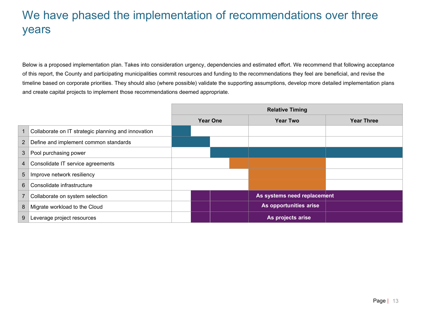### We have phased the implementation of recommendations over three years

Below is a proposed implementation plan. Takes into consideration urgency, dependencies and estimated effort. We recommend that following acceptance of this report, the County and participating municipalities commit resources and funding to the recommendations they feel are beneficial, and revise the timeline based on corporate priorities. They should also (where possible) validate the supporting assumptions, develop more detailed implementation plans and create capital projects to implement those recommendations deemed appropriate.

|                |                                                     | <b>Relative Timing</b> |                 |  |                             |                   |
|----------------|-----------------------------------------------------|------------------------|-----------------|--|-----------------------------|-------------------|
|                |                                                     |                        | <b>Year One</b> |  | <b>Year Two</b>             | <b>Year Three</b> |
|                | Collaborate on IT strategic planning and innovation |                        |                 |  |                             |                   |
| $\overline{2}$ | Define and implement common standards               |                        |                 |  |                             |                   |
| 3              | Pool purchasing power                               |                        |                 |  |                             |                   |
| 4              | Consolidate IT service agreements                   |                        |                 |  |                             |                   |
| 5              | Improve network resiliency                          |                        |                 |  |                             |                   |
| 6              | Consolidate infrastructure                          |                        |                 |  |                             |                   |
|                | Collaborate on system selection                     |                        |                 |  | As systems need replacement |                   |
| 8              | Migrate workload to the Cloud                       |                        |                 |  | As opportunities arise      |                   |
|                | Leverage project resources                          |                        |                 |  | As projects arise           |                   |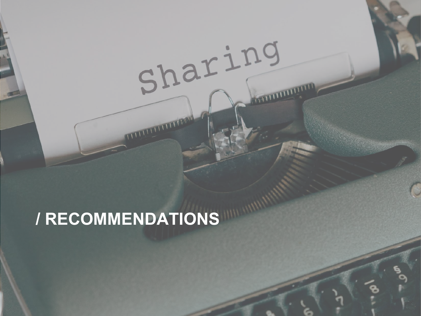# **/ RECOMMENDATIONS**

Sharing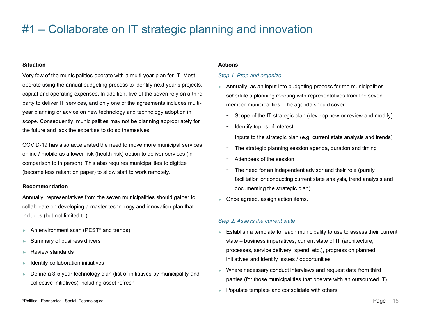### #1 – Collaborate on IT strategic planning and innovation

#### **Situation**

Very few of the municipalities operate with a multi-year plan for IT. Most operate using the annual budgeting process to identify next year's projects, capital and operating expenses. In addition, five of the seven rely on a third party to deliver IT services, and only one of the agreements includes multiyear planning or advice on new technology and technology adoption in scope. Consequently, municipalities may not be planning appropriately for the future and lack the expertise to do so themselves.

COVID-19 has also accelerated the need to move more municipal services online / mobile as a lower risk (health risk) option to deliver services (in comparison to in person). This also requires municipalities to digitize (become less reliant on paper) to allow staff to work remotely.

#### **Recommendation**

Annually, representatives from the seven municipalities should gather to collaborate on developing a master technology and innovation plan that includes (but not limited to):

- ► An environment scan (PEST\* and trends)
- Summary of business drivers
- ► Review standards
- Identify collaboration initiatives
- ► Define a 3-5 year technology plan (list of initiatives by municipality and collective initiatives) including asset refresh

#### **Actions**

#### *Step 1: Prep and organize*

- $\blacktriangleright$  Annually, as an input into budgeting process for the municipalities schedule a planning meeting with representatives from the seven member municipalities. The agenda should cover:
	- Scope of the IT strategic plan (develop new or review and modify)
	- Identify topics of interest
	- Inputs to the strategic plan (e.g. current state analysis and trends)
	- The strategic planning session agenda, duration and timing
	- Attendees of the session
	- The need for an independent advisor and their role (purely facilitation or conducting current state analysis, trend analysis and documenting the strategic plan)
- ► Once agreed, assign action items.

#### *Step 2: Assess the current state*

- ► Establish a template for each municipality to use to assess their current state –business imperatives, current state of IT (architecture, processes, service delivery, spend, etc.), progress on planned initiatives and identify issues / opportunities.
- Where necessary conduct interviews and request data from third parties (for those municipalities that operate with an outsourced IT)
- ► Populate template and consolidate with others.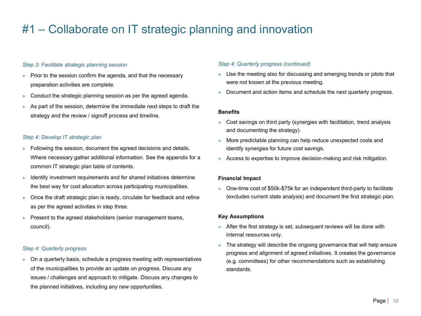### #1 – Collaborate on IT strategic planning and innovation

#### *Step 3: Facilitate strategic planning session*

- ► Prior to the session confirm the agenda, and that the necessary preparation activities are complete.
- ► Conduct the strategic planning session as per the agreed agenda.
- ► As part of the session, determine the immediate next steps to draft the strategy and the review / signoff process and timeline.

#### *Step 4: Develop IT strategic plan*

- Following the session, document the agreed decisions and details. Where necessary gather additional information. See the appendix for a common IT strategic plan table of contents.
- ► Identify investment requirements and for shared initiatives determine the best way for cost allocation across participating municipalities.
- $\triangleright$  Once the draft strategic plan is ready, circulate for feedback and refine as per the agreed activities in step three.
- Present to the agreed stakeholders (senior management teams, council).

#### *Step 4: Quarterly progress*

► On a quarterly basis, schedule a progress meeting with representatives of the municipalities to provide an update on progress. Discuss any issues / challenges and approach to mitigate. Discuss any changes to the planned initiatives, including any new opportunities.

#### *Step 4: Quarterly progress (continued)*

- ► Use the meeting also for discussing and emerging trends or pilots that were not known at the previous meeting.
- $\blacktriangleright$  Document and action items and schedule the next quarterly progress.

#### **Benefits**

- Cost savings on third party (synergies with facilitation, trend analysis and documenting the strategy).
- ► More predictable planning can help reduce unexpected costs and identify synergies for future cost savings.
- ► Access to expertise to improve decision-making and risk mitigation.

#### **Financial Impact**

► One-time cost of \$50k-\$75k for an independent third-party to facilitate (excludes current state analysis) and document the first strategic plan.

#### **Key Assumptions**

- ► After the first strategy is set, subsequent reviews will be done with internal resources only.
- $\blacktriangleright$  The strategy will describe the ongoing governance that will help ensure progress and alignment of agreed initiatives. It creates the governance (e.g. committees) for other recommendations such as establishing standards.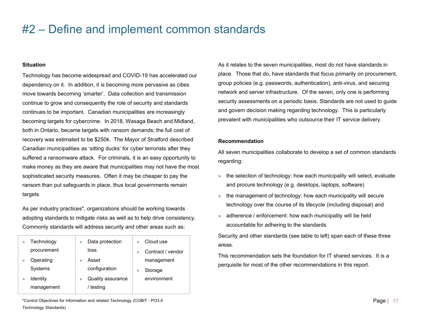### #2 – Define and implement common standards

#### **Situation**

Technology has become widespread and COVID-19 has accelerated our dependency on it. In addition, it is becoming more pervasive as cities move towards becoming 'smarter'. Data collection and transmission continue to grow and consequently the role of security and standards continues to be important. Canadian municipalities are increasingly becoming targets for cybercrime. In 2018, Wasaga Beach and Midland, both in Ontario, became targets with ransom demands; the full cost of recovery was estimated to be \$250k. The Mayor of Stratford described Canadian municipalities as 'sitting ducks' for cyber terrorists after they suffered a ransomware attack. For criminals, it is an easy opportunity to make money as they are aware that municipalities may not have the most sophisticated security measures. Often it may be cheaper to pay the ransom than put safeguards in place, thus local governments remain targets.

As per industry practices\*, organizations should be working towards adopting standards to mitigate risks as well as to help drive consistency. Commonly standards will address security and other areas such as:

| Technology      | Data protection   | Cloud use         |
|-----------------|-------------------|-------------------|
| procurement     | loss              | Contract / vendor |
| Operating       | Asset             | management        |
| Systems         | configuration     | Storage           |
| <b>Identity</b> | Quality assurance | environment       |
| management      | / testing         |                   |

As it relates to the seven municipalities, most do not have standards in place. Those that do, have standards that focus primarily on procurement, group policies (e.g. passwords, authentication), anti-virus, and securing network and server infrastructure. Of the seven, only one is performing security assessments on a periodic basis. Standards are not used to guide and govern decision making regarding technology. This is particularly prevalent with municipalities who outsource their IT service delivery.

#### **Recommendation**

All seven municipalities collaborate to develop a set of common standards regarding:

- $\blacktriangleright$  the selection of technology: how each municipality will select, evaluate and procure technology (e.g. desktops, laptops, software)
- $\blacktriangleright$  the management of technology: how each municipality will secure technology over the course of its lifecycle (including disposal) and
- ► adherence / enforcement: how each municipality will be held accountable for adhering to the standards

Security and other standards (see table to left) span each of these three areas.

This recommendation sets the foundation for IT shared services. It is a perquisite for most of the other recommendations in this report.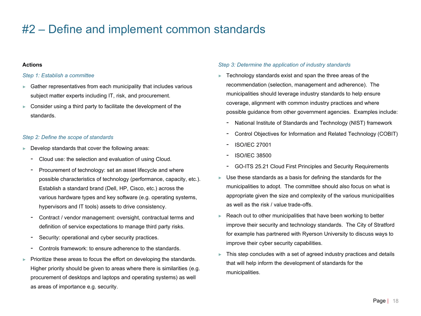### #2 – Define and implement common standards

#### **Actions**

#### *Step 1: Establish a committee*

- ► Gather representatives from each municipality that includes various subject matter experts including IT, risk, and procurement.
- ► Consider using a third party to facilitate the development of the standards.

#### *Step 2: Define the scope of standards*

- Develop standards that cover the following areas:
	- Cloud use: the selection and evaluation of using Cloud.
	- Procurement of technology: set an asset lifecycle and where possible characteristics of technology (performance, capacity, etc.). Establish a standard brand (Dell, HP, Cisco, etc.) across the various hardware types and key software (e.g. operating systems, hypervisors and IT tools) assets to drive consistency.
	- Contract / vendor management: oversight, contractual terms and definition of service expectations to manage third party risks.
	- Security: operational and cyber security practices.
	- Controls framework: to ensure adherence to the standards.
- Prioritize these areas to focus the effort on developing the standards. Higher priority should be given to areas where there is similarities (e.g. procurement of desktops and laptops and operating systems) as well as areas of importance e.g. security.

#### *Step 3: Determine the application of industry standards*

- ► Technology standards exist and span the three areas of the recommendation (selection, management and adherence). The municipalities should leverage industry standards to help ensure coverage, alignment with common industry practices and where possible guidance from other government agencies. Examples include:
	- National Institute of Standards and Technology (NIST) framework
	- Control Objectives for Information and Related Technology (COBIT)
	- ISO/IEC 27001
	- ISO/IEC 38500
	- GO-ITS 25.21 Cloud First Principles and Security Requirements
- Use these standards as a basis for defining the standards for the municipalities to adopt. The committee should also focus on what is appropriate given the size and complexity of the various municipalities as well as the risk / value trade-offs.
- Reach out to other municipalities that have been working to better improve their security and technology standards. The City of Stratford for example has partnered with Ryerson University to discuss ways to improve their cyber security capabilities.
- $\blacktriangleright$  This step concludes with a set of agreed industry practices and details that will help inform the development of standards for the municipalities.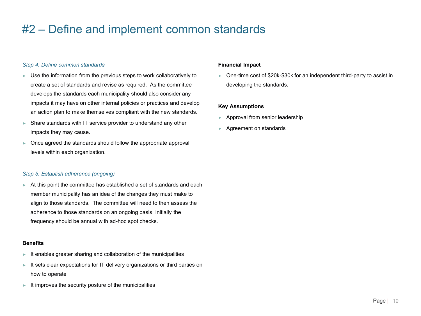### #2 – Define and implement common standards

#### *Step 4: Define common standards*

- ► Use the information from the previous steps to work collaboratively to create a set of standards and revise as required. As the committee develops the standards each municipality should also consider any impacts it may have on other internal policies or practices and develop an action plan to make themselves compliant with the new standards.
- ► Share standards with IT service provider to understand any other impacts they may cause.
- ► Once agreed the standards should follow the appropriate approval levels within each organization.

#### *Step 5: Establish adherence (ongoing)*

► At this point the committee has established a set of standards and each member municipality has an idea of the changes they must make to align to those standards. The committee will need to then assess the adherence to those standards on an ongoing basis. Initially the frequency should be annual with ad-hoc spot checks.

#### **Benefits**

- ► It enables greater sharing and collaboration of the municipalities
- ► It sets clear expectations for IT delivery organizations or third parties on how to operate
- ► It improves the security posture of the municipalities

#### **Financial Impact**

► One-time cost of \$20k-\$30k for an independent third-party to assist in developing the standards.

#### **Key Assumptions**

- Approval from senior leadership
- ► Agreement on standards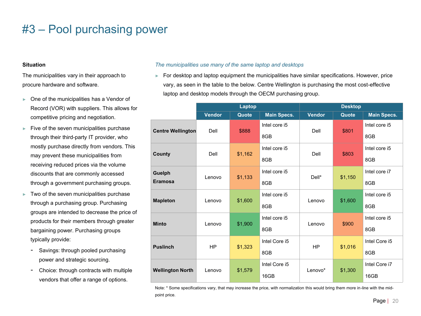#### **Situation**

The municipalities vary in their approach to procure hardware and software.

- ► One of the municipalities has a Vendor of Record (VOR) with suppliers. This allows for competitive pricing and negotiation.
- $\blacktriangleright$  Five of the seven municipalities purchase through their third-party IT provider, who mostly purchase directly from vendors. This may prevent these municipalities from receiving reduced prices via the volume discounts that are commonly accessed through a government purchasing groups.
- $\blacktriangleright$  Two of the seven municipalities purchase through a purchasing group. Purchasing groups are intended to decrease the price of products for their members through greater bargaining power. Purchasing groups typically provide:
	- Savings: through pooled purchasing power and strategic sourcing.
	- Choice: through contracts with multiple vendors that offer a range of options.

#### *The municipalities use many of the same laptop and desktops*

► For desktop and laptop equipment the municipalities have similar specifications. However, price vary, as seen in the table to the below. Centre Wellington is purchasing the most cost-effective laptop and desktop models through the OECM purchasing group.

|                          |               | Laptop  |                    | <b>Desktop</b> |         |                    |
|--------------------------|---------------|---------|--------------------|----------------|---------|--------------------|
|                          | <b>Vendor</b> | Quote   | <b>Main Specs.</b> | <b>Vendor</b>  | Quote   | <b>Main Specs.</b> |
| <b>Centre Wellington</b> | Dell          | \$888   | Intel core i5      | Dell           | \$801   | Intel core i5      |
|                          |               |         | 8GB                |                |         | 8GB                |
| County                   | Dell          | \$1,162 | Intel core i5      | Dell           | \$803   | Intel core i5      |
|                          |               |         | 8GB                |                |         | 8GB                |
| Guelph                   | Lenovo        | \$1,133 | Intel core i5      | Dell*          | \$1,150 | Intel core i7      |
| <b>Eramosa</b>           |               |         | 8GB                |                |         | 8GB                |
|                          | Lenovo        | \$1,600 | Intel core i5      | Lenovo         | \$1,600 | Intel core i5      |
| <b>Mapleton</b>          |               |         | 8GB                |                |         | 8GB                |
| <b>Minto</b>             | Lenovo        | \$1,900 | Intel core i5      | Lenovo         | \$900   | Intel core i5      |
|                          |               |         | 8GB                |                |         | 8GB                |
| <b>Puslinch</b>          | <b>HP</b>     |         | Intel Core i5      | HP             | \$1,016 | Intel Core i5      |
|                          |               | \$1,323 | 8GB                |                |         | 8GB                |
|                          |               | \$1,579 | Intel Core i5      | Lenovo*        | \$1,300 | Intel Core i7      |
| <b>Wellington North</b>  | Lenovo        |         | 16GB               |                |         | 16GB               |

Note: \* Some specifications vary, that may increase the price, with normalization this would bring them more in-line with the midpoint price.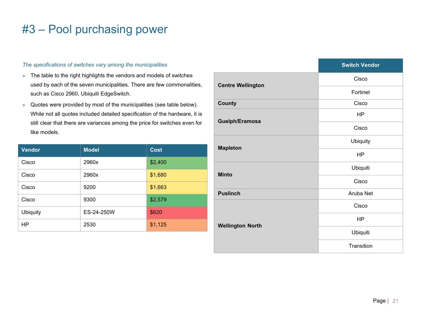#### *The specifications of switches vary among the municipalities*

- ► The table to the right highlights the vendors and models of switches used by each of the seven municipalities. There are few commonalities, such as Cisco 2960, Ubiquiti EdgeSwitch.
- ► Quotes were provided by most of the municipalities (see table below). While not all quotes included detailed specification of the hardware, it is still clear that there are variances among the price for switches even for like models.

| <b>Vendor</b>   | <b>Model</b> | <b>Cost</b> |
|-----------------|--------------|-------------|
| Cisco           | 2960x        | \$2,400     |
| Cisco           | 2960x        | \$1,680     |
| Cisco           | 9200         | \$1,663     |
| Cisco           | 9300         | \$2,579     |
| <b>Ubiquity</b> | ES-24-250W   | \$620       |
| HP              | 2530         | \$1,125     |

|                          | <b>Switch Vendor</b> |  |
|--------------------------|----------------------|--|
|                          | Cisco                |  |
| <b>Centre Wellington</b> | Fortinet             |  |
| <b>County</b>            | Cisco                |  |
| Guelph/Eramosa           | HP                   |  |
|                          | Cisco                |  |
| <b>Mapleton</b>          | <b>Ubiquity</b>      |  |
|                          | HP                   |  |
| <b>Minto</b>             | Ubiquiti             |  |
|                          | Cisco                |  |
| <b>Puslinch</b>          | Aruba Net            |  |
|                          | Cisco                |  |
| <b>Wellington North</b>  | <b>HP</b>            |  |
|                          | Ubiquiti             |  |
|                          | Transition           |  |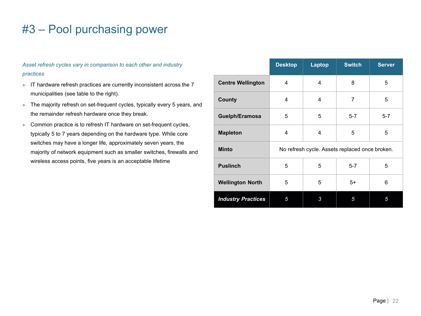*Asset refresh cycles vary in comparison to each other and industry practices*

- ► IT hardware refresh practices are currently inconsistent across the 7 municipalities (see table to the right).
- ► The majority refresh on set-frequent cycles, typically every 5 years, and the remainder refresh hardware once they break.
- ► Common practice is to refresh IT hardware on set-frequent cycles, typically 5 to 7 years depending on the hardware type. While core switches may have a longer life, approximately seven years, the majority of network equipment such as smaller switches, firewalls and wireless access points, five years is an acceptable lifetime

|                           | <b>Desktop</b> | Laptop                                         | <b>Switch</b>  | <b>Server</b> |
|---------------------------|----------------|------------------------------------------------|----------------|---------------|
| <b>Centre Wellington</b>  | 4              | 4                                              | 8              | 5             |
| County                    | 4              | 4                                              | $\overline{7}$ | 5             |
| Guelph/Eramosa            | 5              | 5                                              | $5 - 7$        | $5 - 7$       |
| <b>Mapleton</b>           | 4              | 4                                              | 5              | 5             |
| <b>Minto</b>              |                | No refresh cycle. Assets replaced once broken. |                |               |
| <b>Puslinch</b>           | 5              | 5                                              | $5 - 7$        | 5             |
| <b>Wellington North</b>   | 5              | 5                                              | $5+$           | 6             |
| <b>Industry Practices</b> | 5              | 3                                              | 5              | 5             |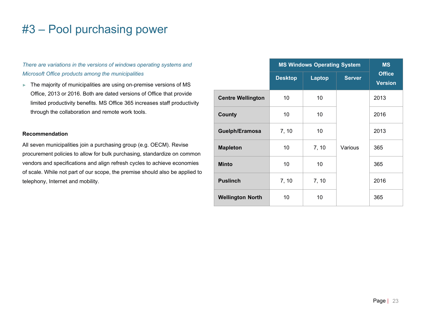*There are variations in the versions of windows operating systems and Microsoft Office products among the municipalities*

► The majority of municipalities are using on-premise versions of MS Office, 2013 or 2016. Both are dated versions of Office that provide limited productivity benefits. MS Office 365 increases staff productivity through the collaboration and remote work tools.

#### **Recommendation**

All seven municipalities join a purchasing group (e.g. OECM). Revise procurement policies to allow for bulk purchasing, standardize on common vendors and specifications and align refresh cycles to achieve economies of scale. While not part of our scope, the premise should also be applied to telephony, Internet and mobility.

|                          | <b>MS Windows Operating System</b> | <b>MS</b><br><b>Office</b> |               |      |  |  |
|--------------------------|------------------------------------|----------------------------|---------------|------|--|--|
|                          | <b>Desktop</b>                     | <b>Laptop</b>              | <b>Server</b> |      |  |  |
| <b>Centre Wellington</b> | 10                                 | 10                         |               | 2013 |  |  |
| County                   | 10                                 | 10                         |               | 2016 |  |  |
| Guelph/Eramosa           | 7, 10                              | 10                         |               | 2013 |  |  |
| <b>Mapleton</b>          | 10                                 | 7, 10                      | Various       | 365  |  |  |
| <b>Minto</b>             | 10                                 | 10                         |               | 365  |  |  |
| <b>Puslinch</b>          | 7, 10                              | 7, 10                      |               | 2016 |  |  |
| <b>Wellington North</b>  | 10                                 | 10                         |               | 365  |  |  |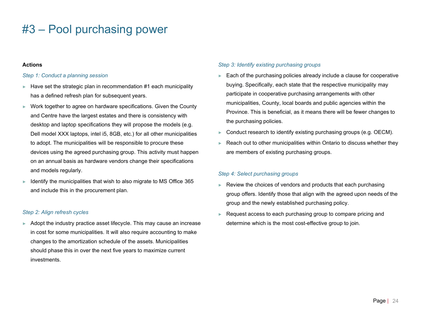#### **Actions**

#### *Step 1: Conduct a planning session*

- Have set the strategic plan in recommendation  $#1$  each municipality has a defined refresh plan for subsequent years.
- ► Work together to agree on hardware specifications. Given the County and Centre have the largest estates and there is consistency with desktop and laptop specifications they will propose the models (e.g. Dell model XXX laptops, intel i5, 8GB, etc.) for all other municipalities to adopt. The municipalities will be responsible to procure these devices using the agreed purchasing group. This activity must happen on an annual basis as hardware vendors change their specifications and models regularly.
- Identify the municipalities that wish to also migrate to MS Office 365 and include this in the procurement plan.

#### *Step 2: Align refresh cycles*

Adopt the industry practice asset lifecycle. This may cause an increase in cost for some municipalities. It will also require accounting to make changes to the amortization schedule of the assets. Municipalities should phase this in over the next five years to maximize current investments.

#### *Step 3: Identify existing purchasing groups*

- ► Each of the purchasing policies already include a clause for cooperative buying. Specifically, each state that the respective municipality may participate in cooperative purchasing arrangements with other municipalities, County, local boards and public agencies within the Province. This is beneficial, as it means there will be fewer changes to the purchasing policies.
- ► Conduct research to identify existing purchasing groups (e.g. OECM).
- Reach out to other municipalities within Ontario to discuss whether they are members of existing purchasing groups.

#### *Step 4: Select purchasing groups*

- ► Review the choices of vendors and products that each purchasing group offers. Identify those that align with the agreed upon needs of the group and the newly established purchasing policy.
- ► Request access to each purchasing group to compare pricing and determine which is the most cost-effective group to join.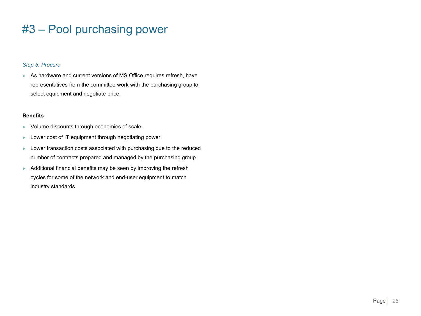#### *Step 5: Procure*

► As hardware and current versions of MS Office requires refresh, have representatives from the committee work with the purchasing group to select equipment and negotiate price.

#### **Benefits**

- ► Volume discounts through economies of scale.
- ► Lower cost of IT equipment through negotiating power.
- ► Lower transaction costs associated with purchasing due to the reduced number of contracts prepared and managed by the purchasing group.
- ► Additional financial benefits may be seen by improving the refresh cycles for some of the network and end-user equipment to match industry standards.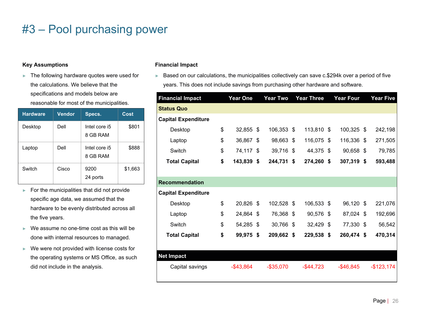#### **Key Assumptions**

► The following hardware quotes were used for the calculations. We believe that the specifications and models below are reasonable for most of the municipalities.

| <b>Hardware</b> | <b>Vendor</b> | Specs.                    | Cost    |
|-----------------|---------------|---------------------------|---------|
| Desktop         | Dell          | Intel core i5<br>8 GB RAM | \$801   |
| Laptop          | Dell          | Intel core i5<br>8 GB RAM | \$888   |
| Switch          | Cisco         | 9200<br>24 ports          | \$1,663 |

- ► For the municipalities that did not provide specific age data, we assumed that the hardware to be evenly distributed across all the five years.
- ► We assume no one-time cost as this will be done with internal resources to managed.
- ► We were not provided with license costs for the operating systems or MS Office, as such did not include in the analysis.

#### **Financial Impact**

► Based on our calculations, the municipalities collectively can save c.\$294k over a period of five years. This does not include savings from purchasing other hardware and software.

| <b>Financial Impact</b>    | <b>Year One</b> | <b>Year Two</b>  | <b>Year Three</b> |      | <b>Year Four</b> | <b>Year Five</b> |
|----------------------------|-----------------|------------------|-------------------|------|------------------|------------------|
| Status Quo                 |                 |                  |                   |      |                  |                  |
| <b>Capital Expenditure</b> |                 |                  |                   |      |                  |                  |
| Desktop                    | \$<br>32,855 \$ | 106,353 \$       | 113,810 \$        |      | 100,325 \$       | 242,198          |
| Laptop                     | \$<br>36,867    | \$<br>98,663 \$  | 116,075           | - \$ | 116,336 \$       | 271,505          |
| Switch                     | \$<br>74,117 \$ | 39,716 \$        | 44,375 \$         |      | 90,658 \$        | 79,785           |
| <b>Total Capital</b>       | \$<br>143,839   | \$<br>244,731    | \$<br>274,260 \$  |      | 307,319 \$       | 593,488          |
|                            |                 |                  |                   |      |                  |                  |
| <b>Recommendation</b>      |                 |                  |                   |      |                  |                  |
| <b>Capital Expenditure</b> |                 |                  |                   |      |                  |                  |
| Desktop                    | \$<br>20,826 \$ | 102,528 \$       | 106,533 \$        |      | 96,120 \$        | 221,076          |
| Laptop                     | \$<br>24,864 \$ | 76,368 \$        | 90,576            | - \$ | 87,024 \$        | 192,696          |
| Switch                     | \$<br>54,285 \$ | 30,766 \$        | 32,429 \$         |      | 77,330 \$        | 56,542           |
| <b>Total Capital</b>       | \$<br>99,975    | \$<br>209,662 \$ | 229,538 \$        |      | 260,474 \$       | 470,314          |
|                            |                 |                  |                   |      |                  |                  |
| <b>Net Impact</b>          |                 |                  |                   |      |                  |                  |
| Capital savings            | $-$43,864$      | $-$ \$35,070     | $-$ \$44,723      |      | $-$ \$46,845     | $-$123,174$      |
|                            |                 |                  |                   |      |                  |                  |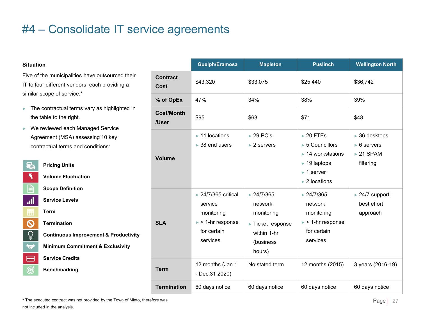#### **Situation**

Five of the municipalities have outsourced their IT to four different vendors, each providing a similar scope of service.\*

- ► The contractual terms vary as highlighted in the table to the right.
- ► We reviewed each Managed Service Agreement (MSA) assessing 10 key contractual terms and conditions:

| <b>Pricing Units</b><br><b>Volume Fluctuation</b><br><b>Scope Definition</b><br>.dl<br><b>Service Levels</b><br><b>Term</b><br>222<br><b>Termination</b><br><b>Continuous Improvement &amp; Productivity</b><br><b>Minimum Commitment &amp; Exclusivity</b><br>X<br><b>Service Credits</b><br>⋿<br><b>Benchmarking</b> |  |
|------------------------------------------------------------------------------------------------------------------------------------------------------------------------------------------------------------------------------------------------------------------------------------------------------------------------|--|
|                                                                                                                                                                                                                                                                                                                        |  |
|                                                                                                                                                                                                                                                                                                                        |  |
|                                                                                                                                                                                                                                                                                                                        |  |
|                                                                                                                                                                                                                                                                                                                        |  |
|                                                                                                                                                                                                                                                                                                                        |  |
|                                                                                                                                                                                                                                                                                                                        |  |
|                                                                                                                                                                                                                                                                                                                        |  |
|                                                                                                                                                                                                                                                                                                                        |  |
|                                                                                                                                                                                                                                                                                                                        |  |
|                                                                                                                                                                                                                                                                                                                        |  |
|                                                                                                                                                                                                                                                                                                                        |  |

|                            | Guelph/Eramosa                                                                                                   | <b>Mapleton</b>                                                                                     | <b>Puslinch</b>                                                                                                                                                                                                | <b>Wellington North</b>                                                                             |
|----------------------------|------------------------------------------------------------------------------------------------------------------|-----------------------------------------------------------------------------------------------------|----------------------------------------------------------------------------------------------------------------------------------------------------------------------------------------------------------------|-----------------------------------------------------------------------------------------------------|
| <b>Contract</b><br>Cost    | \$43,320                                                                                                         | \$33,075                                                                                            | \$25,440                                                                                                                                                                                                       | \$36,742                                                                                            |
| % of OpEx                  | 47%                                                                                                              | 34%                                                                                                 | 38%                                                                                                                                                                                                            | 39%                                                                                                 |
| <b>Cost/Month</b><br>/User | \$95                                                                                                             | \$63                                                                                                | \$71                                                                                                                                                                                                           | \$48                                                                                                |
| <b>Volume</b>              | $\blacktriangleright$ 11 locations<br>$\triangleright$ 38 end users                                              | $\triangleright$ 29 PC's<br>$\blacktriangleright$ 2 servers                                         | $\triangleright$ 20 FTEs<br>$\triangleright$ 5 Councillors<br>$\blacktriangleright$ 14 workstations<br>$\blacktriangleright$ 19 laptops<br>$\blacktriangleright$ 1 server<br>$\blacktriangleright$ 2 locations | $\triangleright$ 36 desktops<br>$\triangleright$ 6 servers<br>$\triangleright$ 21 SPAM<br>filtering |
| <b>SLA</b>                 | ▶ 24/7/365 critical<br>service<br>monitoring<br>$\blacktriangleright$ < 1-hr response<br>for certain<br>services | $\geq 24/7/365$<br>network<br>monitoring<br>► Ticket response<br>within 1-hr<br>(business<br>hours) | $\geq 24/7/365$<br>network<br>monitoring<br>$\blacktriangleright$ < 1-hr response<br>for certain<br>services                                                                                                   | ▶ 24/7 support -<br>best effort<br>approach                                                         |
| <b>Term</b>                | 12 months (Jan.1<br>- Dec.31 2020)                                                                               | No stated term                                                                                      | 12 months (2015)                                                                                                                                                                                               | 3 years (2016-19)                                                                                   |
| <b>Termination</b>         | 60 days notice                                                                                                   | 60 days notice                                                                                      | 60 days notice                                                                                                                                                                                                 | 60 days notice                                                                                      |

**\*** The executed contract was not provided by the Town of Minto, therefore was not included in the analysis.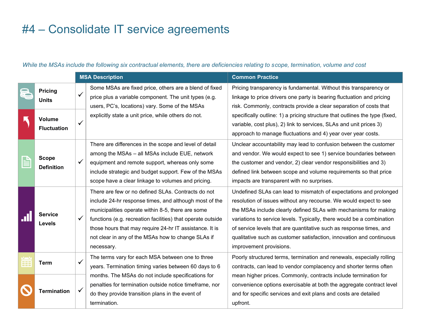*While the MSAs include the following six contractual elements, there are deficiencies relating to scope, termination, volume and cost*

|     |                                   |   | <b>MSA Description</b>                                                                                                                                                                                                                                                                                                                                          | <b>Common Practice</b>                                                                                                                                                                                                                                                                                                                                                                                                                                        |
|-----|-----------------------------------|---|-----------------------------------------------------------------------------------------------------------------------------------------------------------------------------------------------------------------------------------------------------------------------------------------------------------------------------------------------------------------|---------------------------------------------------------------------------------------------------------------------------------------------------------------------------------------------------------------------------------------------------------------------------------------------------------------------------------------------------------------------------------------------------------------------------------------------------------------|
| 爱   | <b>Pricing</b><br><b>Units</b>    | ✓ | Some MSAs are fixed price, others are a blend of fixed<br>price plus a variable component. The unit types (e.g.<br>users, PC's, locations) vary. Some of the MSAs                                                                                                                                                                                               | Pricing transparency is fundamental. Without this transparency or<br>linkage to price drivers one party is bearing fluctuation and pricing<br>risk. Commonly, contracts provide a clear separation of costs that                                                                                                                                                                                                                                              |
|     | Volume<br><b>Fluctuation</b>      | ✓ | explicitly state a unit price, while others do not.                                                                                                                                                                                                                                                                                                             | specifically outline: 1) a pricing structure that outlines the type (fixed,<br>variable, cost plus), 2) link to services, SLAs and unit prices 3)<br>approach to manage fluctuations and 4) year over year costs.                                                                                                                                                                                                                                             |
|     | <b>Scope</b><br><b>Definition</b> | ✓ | There are differences in the scope and level of detail<br>among the MSAs - all MSAs include EUE, network<br>equipment and remote support, whereas only some<br>include strategic and budget support. Few of the MSAs<br>scope have a clear linkage to volumes and pricing.                                                                                      | Unclear accountability may lead to confusion between the customer<br>and vendor. We would expect to see 1) service boundaries between<br>the customer and vendor, 2) clear vendor responsibilities and 3)<br>defined link between scope and volume requirements so that price<br>impacts are transparent with no surprises.                                                                                                                                   |
| .II | <b>Service</b><br><b>Levels</b>   | ✓ | There are few or no defined SLAs. Contracts do not<br>include 24-hr response times, and although most of the<br>municipalities operate within 8-5, there are some<br>functions (e.g. recreation facilities) that operate outside<br>those hours that may require 24-hr IT assistance. It is<br>not clear in any of the MSAs how to change SLAs if<br>necessary. | Undefined SLAs can lead to mismatch of expectations and prolonged<br>resolution of issues without any recourse. We would expect to see<br>the MSAs include clearly defined SLAs with mechanisms for making<br>variations to service levels. Typically, there would be a combination<br>of service levels that are quantitative such as response times, and<br>qualitative such as customer satisfaction, innovation and continuous<br>improvement provisions. |
| Ŧ   | <b>Term</b>                       | ✓ | The terms vary for each MSA between one to three<br>years. Termination timing varies between 60 days to 6                                                                                                                                                                                                                                                       | Poorly structured terms, termination and renewals, especially rolling<br>contracts, can lead to vendor complacency and shorter terms often                                                                                                                                                                                                                                                                                                                    |
|     | <b>Termination</b>                |   | months. The MSAs do not include specifications for<br>penalties for termination outside notice timeframe, nor<br>do they provide transition plans in the event of<br>termination.                                                                                                                                                                               | mean higher prices. Commonly, contracts include termination for<br>convenience options exercisable at both the aggregate contract level<br>and for specific services and exit plans and costs are detailed<br>upfront.                                                                                                                                                                                                                                        |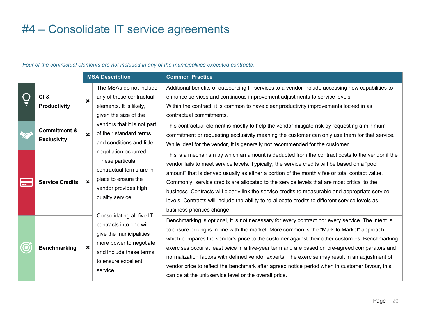#### **MSA Description Common Practice** The MSAs do not include Additional benefits of outsourcing IT services to a vendor include accessing new capabilities to **CI &**  enhance services and continuous improvement adjustments to service levels. any of these contractual  $\mathbf{x}$ **Productivity** elements. It is likely, Within the contract, it is common to have clear productivity improvements locked in as given the size of the contractual commitments. vendors that it is not part This contractual element is mostly to help the vendor mitigate risk by requesting a minimum **Commitment &**  of their standard terms  $\mathbf{x}$ commitment or requesting exclusivity meaning the customer can only use them for that service. **Exclusivity** and conditions and little While ideal for the vendor, it is generally not recommended for the customer. negotiation occurred. This is a mechanism by which an amount is deducted from the contract costs to the vendor if the These particular vendor fails to meet service levels. Typically, the service credits will be based on a "pool contractual terms are in amount" that is derived usually as either a portion of the monthly fee or total contact value. place to ensure the سى بىر<br>سىرى **Service Credits** Commonly, service credits are allocated to the service levels that are most critical to the vendor provides high business. Contracts will clearly link the service credits to measurable and appropriate service quality service. levels. Contracts will include the ability to re-allocate credits to different service levels as business priorities change. Consolidating all five IT Benchmarking is optional, it is not necessary for every contract nor every service. The intent is contracts into one will to ensure pricing is in-line with the market. More common is the "Mark to Market" approach, give the municipalities which compares the vendor's price to the customer against their other customers. Benchmarking more power to negotiate **Benchmarking** exercises occur at least twice in a five-year term and are based on pre-agreed comparators and and include these terms, normalization factors with defined vendor experts. The exercise may result in an adjustment of to ensure excellent vendor price to reflect the benchmark after agreed notice period when in customer favour, this service. can be at the unit/service level or the overall price.

#### *Four of the contractual elements are not included in any of the municipalities executed contracts.*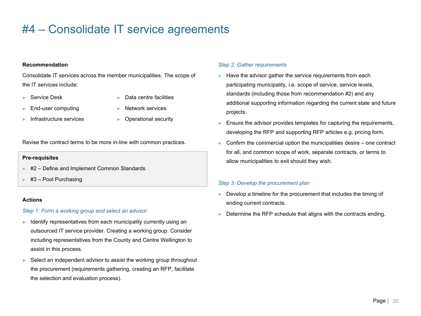#### **Recommendation**

Consolidate IT services across the member municipalities. The scope of the IT services include:

► Service Desk

► Data centre facilities

► End-user computing

- ► Network services
- ► Infrastructure services
- ► Operational security

Revise the contract terms to be more in-line with common practices.

#### **Pre-requisites**

- ► #2 Define and Implement Common Standards
- $\blacktriangleright$  #3 Pool Purchasing

#### **Actions**

#### *Step 1: Form a working group and select an advisor*

- $\blacktriangleright$  Identify representatives from each municipality currently using an outsourced IT service provider. Creating a working group. Consider including representatives from the County and Centre Wellington to assist in this process.
- ► Select an independent advisor to assist the working group throughout the procurement (requirements gathering, creating an RFP, facilitate the selection and evaluation process).

#### *Step 2: Gather requirements*

- $\blacktriangleright$  Have the advisor gather the service requirements from each participating municipality, i.e. scope of service, service levels, standards (including those from recommendation #2) and any additional supporting information regarding the current state and future projects.
- ► Ensure the advisor provides templates for capturing the requirements, developing the RFP and supporting RFP articles e.g. pricing form.
- $\triangleright$  Confirm the commercial option the municipalities desire one contract for all, and common scope of work, separate contracts, or terms to allow municipalities to exit should they wish.

#### *Step 3: Develop the procurement plan*

- Develop a timeline for the procurement that includes the timing of ending current contracts.
- Determine the RFP schedule that aligns with the contracts ending.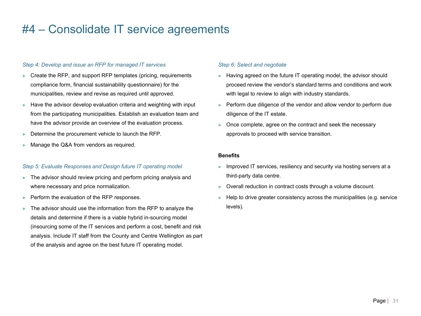#### *Step 4: Develop and issue an RFP for managed IT services*

- Create the RFP, and support RFP templates (pricing, requirements compliance form, financial sustainability questionnaire) for the municipalities, review and revise as required until approved.
- $\blacktriangleright$  Have the advisor develop evaluation criteria and weighting with input from the participating municipalities. Establish an evaluation team and have the advisor provide an overview of the evaluation process.
- ► Determine the procurement vehicle to launch the RFP.
- Manage the Q&A from vendors as required.

#### *Step 5: Evaluate Responses and Design future IT operating model*

- The advisor should review pricing and perform pricing analysis and where necessary and price normalization.
- ► Perform the evaluation of the RFP responses.
- The advisor should use the information from the RFP to analyze the details and determine if there is a viable hybrid in-sourcing model (insourcing some of the IT services and perform a cost, benefit and risk analysis. Include IT staff from the County and Centre Wellington as part of the analysis and agree on the best future IT operating model.

#### *Step 6: Select and negotiate*

- ► Having agreed on the future IT operating model, the advisor should proceed review the vendor's standard terms and conditions and work with legal to review to align with industry standards.
- ► Perform due diligence of the vendor and allow vendor to perform due diligence of the IT estate.
- ► Once complete, agree on the contract and seek the necessary approvals to proceed with service transition.

#### **Benefits**

- ► Improved IT services, resiliency and security via hosting servers at a third-party data centre.
- ► Overall reduction in contract costs through a volume discount.
- $\blacktriangleright$  Help to drive greater consistency across the municipalities (e.g. service levels).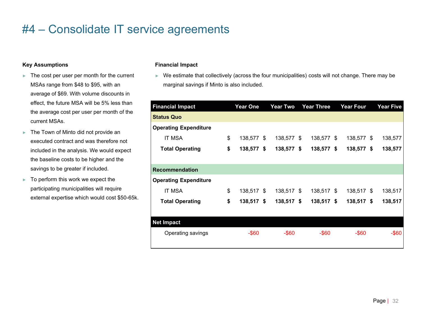#### **Key Assumptions**

- ► The cost per user per month for the current MSAs range from \$48 to \$95, with an average of \$69. With volume discounts in effect, the future MSA will be 5% less than the average cost per user per month of the current MSAs.
- ► The Town of Minto did not provide an executed contract and was therefore not included in the analysis. We would expect the baseline costs to be higher and the savings to be greater if included.
- ► To perform this work we expect the participating municipalities will require external expertise which would cost \$50-65k.

#### **Financial Impact**

► We estimate that collectively (across the four municipalities) costs will not change. There may be marginal savings if Minto is also included.

| <b>Financial Impact</b>      | <b>Year One</b>  |    | <b>Year Two</b> | <b>Year Three</b> |  | <b>Year Four</b> |  |          |  | <b>Year Five</b> |
|------------------------------|------------------|----|-----------------|-------------------|--|------------------|--|----------|--|------------------|
| <b>Status Quo</b>            |                  |    |                 |                   |  |                  |  |          |  |                  |
| <b>Operating Expenditure</b> |                  |    |                 |                   |  |                  |  |          |  |                  |
| <b>IT MSA</b>                | \$<br>138,577 \$ |    | 138,577 \$      | 138,577 \$        |  | 138,577 \$       |  | 138,577  |  |                  |
| <b>Total Operating</b>       | \$<br>138,577    | Ŝ. | 138,577 \$      | 138,577 \$        |  | 138,577 \$       |  | 138,577  |  |                  |
|                              |                  |    |                 |                   |  |                  |  |          |  |                  |
| <b>Recommendation</b>        |                  |    |                 |                   |  |                  |  |          |  |                  |
| <b>Operating Expenditure</b> |                  |    |                 |                   |  |                  |  |          |  |                  |
| <b>IT MSA</b>                | \$<br>138,517 \$ |    | 138,517 \$      | 138,517 \$        |  | 138,517 \$       |  | 138,517  |  |                  |
| <b>Total Operating</b>       | \$<br>138,517    | \$ | 138,517 \$      | $138,517$ \$      |  | 138,517 \$       |  | 138,517  |  |                  |
|                              |                  |    |                 |                   |  |                  |  |          |  |                  |
| <b>Net Impact</b>            |                  |    |                 |                   |  |                  |  |          |  |                  |
| Operating savings            | $-$ \$60         |    | $-$ \$60        | $-$ \$60          |  | $-$ \$60         |  | $-$ \$60 |  |                  |
|                              |                  |    |                 |                   |  |                  |  |          |  |                  |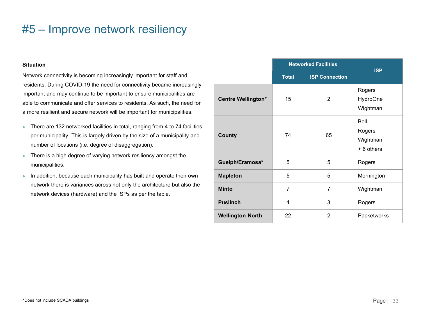#### **Situation**

Network connectivity is becoming increasingly important for staff and residents. During COVID-19 the need for connectivity became increasingly important and may continue to be important to ensure municipalities are able to communicate and offer services to residents. As such, the need for a more resilient and secure network will be important for municipalities.

- ► There are 132 networked facilities in total, ranging from 4 to 74 facilities per municipality. This is largely driven by the size of a municipality and number of locations (i.e. degree of disaggregation).
- ► There is a high degree of varying network resiliency amongst the municipalities.
- ► In addition, because each municipality has built and operate their own network there is variances across not only the architecture but also the network devices (hardware) and the ISPs as per the table.

|                           | <b>Networked Facilities</b> | <b>ISP</b>            |                                         |  |  |
|---------------------------|-----------------------------|-----------------------|-----------------------------------------|--|--|
|                           | <b>Total</b>                | <b>ISP Connection</b> |                                         |  |  |
| <b>Centre Wellington*</b> | 15                          | 2                     | Rogers<br><b>HydroOne</b><br>Wightman   |  |  |
| <b>County</b>             | 74                          | 65                    | Bell<br>Rogers<br>Wightman<br>+6 others |  |  |
| Guelph/Eramosa*           | 5                           | 5                     | Rogers                                  |  |  |
| <b>Mapleton</b>           | 5                           | 5                     | Mornington                              |  |  |
| <b>Minto</b>              | $\overline{7}$              | $\overline{7}$        | Wightman                                |  |  |
| <b>Puslinch</b>           | 4                           | 3                     | Rogers                                  |  |  |
| <b>Wellington North</b>   | 22                          | $\overline{2}$        | <b>Packetworks</b>                      |  |  |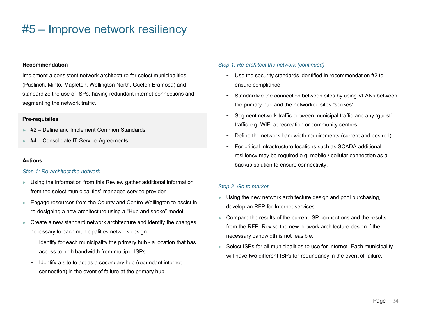#### **Recommendation**

Implement a consistent network architecture for select municipalities (Puslinch, Minto, Mapleton, Wellington North, Guelph Eramosa) and standardize the use of ISPs, having redundant internet connections and segmenting the network traffic.

#### **Pre-requisites**

- ► #2 Define and Implement Common Standards
- ► #4 Consolidate IT Service Agreements

#### **Actions**

#### *Step 1: Re-architect the network*

- ► Using the information from this Review gather additional information from the select municipalities' managed service provider.
- Engage resources from the County and Centre Wellington to assist in re-designing a new architecture using a "Hub and spoke" model.
- $\blacktriangleright$  Create a new standard network architecture and identify the changes necessary to each municipalities network design.
	- Identify for each municipality the primary hub a location that has access to high bandwidth from multiple ISPs.
	- Identify a site to act as a secondary hub (redundant internet connection) in the event of failure at the primary hub.

#### *Step 1: Re-architect the network (continued)*

- Use the security standards identified in recommendation #2 to ensure compliance.
- Standardize the connection between sites by using VLANs between the primary hub and the networked sites "spokes".
- Segment network traffic between municipal traffic and any "guest" traffic e.g. WIFI at recreation or community centres.
- Define the network bandwidth requirements (current and desired)
- For critical infrastructure locations such as SCADA additional resiliency may be required e.g. mobile / cellular connection as a backup solution to ensure connectivity.

#### *Step 2: Go to market*

- $\blacktriangleright$  Using the new network architecture design and pool purchasing, develop an RFP for Internet services.
- Compare the results of the current ISP connections and the results from the RFP. Revise the new network architecture design if the necessary bandwidth is not feasible.
- ► Select ISPs for all municipalities to use for Internet. Each municipality will have two different ISPs for redundancy in the event of failure.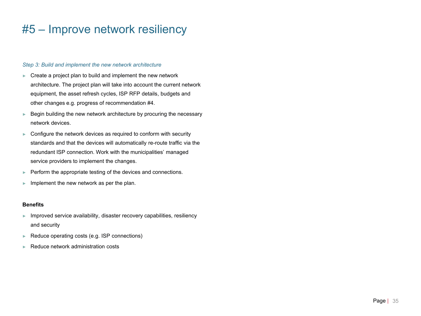#### *Step 3: Build and implement the new network architecture*

- ► Create a project plan to build and implement the new network architecture. The project plan will take into account the current network equipment, the asset refresh cycles, ISP RFP details, budgets and other changes e.g. progress of recommendation #4.
- $\blacktriangleright$  Begin building the new network architecture by procuring the necessary network devices.
- ► Configure the network devices as required to conform with security standards and that the devices will automatically re-route traffic via the redundant ISP connection. Work with the municipalities' managed service providers to implement the changes.
- ► Perform the appropriate testing of the devices and connections.
- $\blacktriangleright$  Implement the new network as per the plan.

#### **Benefits**

- ► Improved service availability, disaster recovery capabilities, resiliency and security
- ► Reduce operating costs (e.g. ISP connections)
- ► Reduce network administration costs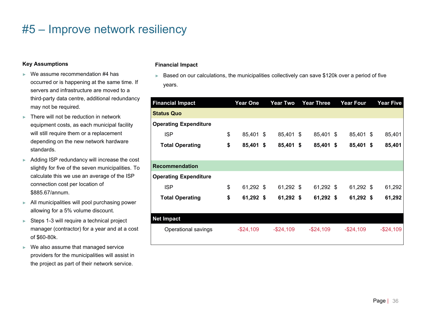#### **Key Assumptions**

- $\triangleright$  We assume recommendation #4 has occurred or is happening at the same time. If servers and infrastructure are moved to a third-party data centre, additional redundancy may not be required.
- ► There will not be reduction in network equipment costs, as each municipal facility will still require them or a replacement depending on the new network hardware standards.
- ► Adding ISP redundancy will increase the cost slightly for five of the seven municipalities. To calculate this we use an average of the ISP connection cost per location of \$885.67/annum.
- ► All municipalities will pool purchasing power allowing for a 5% volume discount.
- ► Steps 1-3 will require a technical project manager (contractor) for a year and at a cost of \$60-80k.
- ► We also assume that managed service providers for the municipalities will assist in the project as part of their network service.

#### **Financial Impact**

► Based on our calculations, the municipalities collectively can save \$120k over a period of five years.

| <b>Financial Impact</b>      | <b>Year One</b> | <b>Year Two</b> | <b>Year Three</b> |  | <b>Year Four</b> |  |              |  | <b>Year Five</b> |
|------------------------------|-----------------|-----------------|-------------------|--|------------------|--|--------------|--|------------------|
| <b>Status Quo</b>            |                 |                 |                   |  |                  |  |              |  |                  |
| <b>Operating Expenditure</b> |                 |                 |                   |  |                  |  |              |  |                  |
| <b>ISP</b>                   | \$<br>85,401 \$ | 85,401 \$       | 85,401 \$         |  | 85,401 \$        |  | 85,401       |  |                  |
| <b>Total Operating</b>       | \$<br>85,401 \$ | 85,401 \$       | 85,401 \$         |  | 85,401 \$        |  | 85,401       |  |                  |
|                              |                 |                 |                   |  |                  |  |              |  |                  |
| <b>Recommendation</b>        |                 |                 |                   |  |                  |  |              |  |                  |
| <b>Operating Expenditure</b> |                 |                 |                   |  |                  |  |              |  |                  |
| <b>ISP</b>                   | \$<br>61,292 \$ | 61,292 \$       | 61,292 \$         |  | 61,292 \$        |  | 61,292       |  |                  |
| <b>Total Operating</b>       | \$<br>61,292 \$ | 61,292 \$       | 61,292 \$         |  | 61,292 \$        |  | 61,292       |  |                  |
|                              |                 |                 |                   |  |                  |  |              |  |                  |
| <b>Net Impact</b>            |                 |                 |                   |  |                  |  |              |  |                  |
| Operational savings          | $-$ \$24,109    | $-$ \$24,109    | $-$ \$24,109      |  | $-$ \$24,109     |  | $-$ \$24,109 |  |                  |
|                              |                 |                 |                   |  |                  |  |              |  |                  |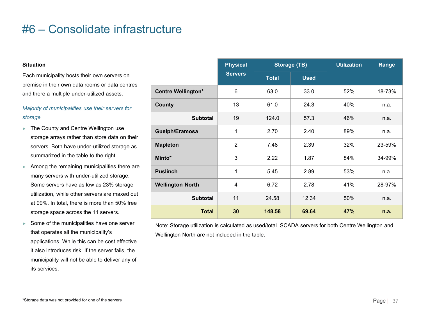#### **Situation**

Each municipality hosts their own servers on premise in their own data rooms or data centres and there a multiple under-utilized assets.

#### *Majority of municipalities use their servers for storage*

- ► The County and Centre Wellington use storage arrays rather than store data on their servers. Both have under-utilized storage as summarized in the table to the right.
- ► Among the remaining municipalities there are many servers with under-utilized storage. Some servers have as low as 23% storage utilization, while other servers are maxed out at 99%. In total, there is more than 50% free storage space across the 11 servers.
- ► Some of the municipalities have one server that operates all the municipality's applications. While this can be cost effective it also introduces risk. If the server fails, the municipality will not be able to deliver any of its services.

|                           | <b>Physical</b> | Storage (TB) | <b>Utilization</b> | Range |        |  |
|---------------------------|-----------------|--------------|--------------------|-------|--------|--|
|                           | <b>Servers</b>  | <b>Total</b> | <b>Used</b>        |       |        |  |
| <b>Centre Wellington*</b> | 6               | 63.0         | 33.0               | 52%   | 18-73% |  |
| <b>County</b>             | 13              | 61.0         | 24.3               | 40%   | n.a.   |  |
| <b>Subtotal</b>           | 19              | 124.0        | 57.3               | 46%   | n.a.   |  |
| Guelph/Eramosa            | 1               | 2.70         | 2.40               | 89%   | n.a.   |  |
| <b>Mapleton</b>           | $\overline{2}$  | 7.48         | 2.39               | 32%   | 23-59% |  |
| Minto*                    | 3               | 2.22         | 1.87               | 84%   | 34-99% |  |
| <b>Puslinch</b>           | 1               | 5.45         | 2.89               | 53%   | n.a.   |  |
| <b>Wellington North</b>   | $\overline{4}$  | 6.72         | 2.78               | 41%   | 28-97% |  |
| <b>Subtotal</b>           | 11              | 24.58        | 12.34              | 50%   | n.a.   |  |
| <b>Total</b>              | 30              | 148.58       | 69.64              | 47%   | n.a.   |  |

Note: Storage utilization is calculated as used/total. SCADA servers for both Centre Wellington and Wellington North are not included in the table.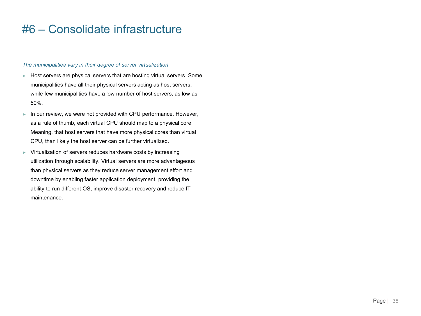#### *The municipalities vary in their degree of server virtualization*

- ► Host servers are physical servers that are hosting virtual servers. Some municipalities have all their physical servers acting as host servers, while few municipalities have a low number of host servers, as low as 50%.
- ► In our review, we were not provided with CPU performance. However, as a rule of thumb, each virtual CPU should map to a physical core. Meaning, that host servers that have more physical cores than virtual CPU, than likely the host server can be further virtualized.
- ► Virtualization of servers reduces hardware costs by increasing utilization through scalability. Virtual servers are more advantageous than physical servers as they reduce server management effort and downtime by enabling faster application deployment, providing the ability to run different OS, improve disaster recovery and reduce IT maintenance.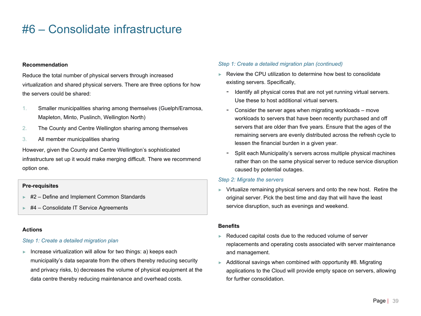#### **Recommendation**

Reduce the total number of physical servers through increased virtualization and shared physical servers. There are three options for how the servers could be shared:

- 1. Smaller municipalities sharing among themselves (Guelph/Eramosa, Mapleton, Minto, Puslinch, Wellington North)
- 2. The County and Centre Wellington sharing among themselves
- 3. All member municipalities sharing

However, given the County and Centre Wellington's sophisticated infrastructure set up it would make merging difficult. There we recommend option one.

#### **Pre-requisites**

- ► #2 Define and Implement Common Standards
- ► #4 Consolidate IT Service Agreements

#### **Actions**

#### *Step 1: Create a detailed migration plan*

► Increase virtualization will allow for two things: a) keeps each municipality's data separate from the others thereby reducing security and privacy risks, b) decreases the volume of physical equipment at the data centre thereby reducing maintenance and overhead costs.

#### *Step 1: Create a detailed migration plan (continued)*

- ► Review the CPU utilization to determine how best to consolidate existing servers. Specifically,
	- Identify all physical cores that are not yet running virtual servers. Use these to host additional virtual servers.
	- Consider the server ages when migrating workloads move workloads to servers that have been recently purchased and off servers that are older than five years. Ensure that the ages of the remaining servers are evenly distributed across the refresh cycle to lessen the financial burden in a given year.
	- Split each Municipality's servers across multiple physical machines rather than on the same physical server to reduce service disruption caused by potential outages.

#### *Step 2: Migrate the servers*

► Virtualize remaining physical servers and onto the new host. Retire the original server. Pick the best time and day that will have the least service disruption, such as evenings and weekend.

#### **Benefits**

- ► Reduced capital costs due to the reduced volume of server replacements and operating costs associated with server maintenance and management.
- ► Additional savings when combined with opportunity #8. Migrating applications to the Cloud will provide empty space on servers, allowing for further consolidation.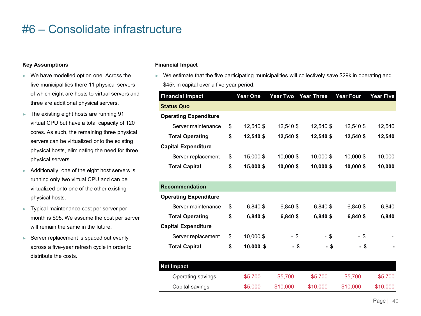#### **Key Assumptions**

- ► We have modelled option one. Across the five municipalities there 11 physical servers of which eight are hosts to virtual servers and three are additional physical servers.
- ► The existing eight hosts are running 91 virtual CPU but have a total capacity of 120 cores. As such, the remaining three physical servers can be virtualized onto the existing physical hosts, eliminating the need for three physical servers.
- ► Additionally, one of the eight host servers is running only two virtual CPU and can be virtualized onto one of the other existing physical hosts.
- ► Typical maintenance cost per server per month is \$95. We assume the cost per server will remain the same in the future.
- ► Server replacement is spaced out evenly across a five-year refresh cycle in order to distribute the costs.

#### **Financial Impact**

► We estimate that the five participating municipalities will collectively save \$29k in operating and \$45k in capital over a five year period.

| <b>Financial Impact</b>      | <b>Year One</b>   | <b>Year Two</b> | <b>Year Three</b> | <b>Year Four</b> | <b>Year Five</b> |
|------------------------------|-------------------|-----------------|-------------------|------------------|------------------|
| <b>Status Quo</b>            |                   |                 |                   |                  |                  |
| <b>Operating Expenditure</b> |                   |                 |                   |                  |                  |
| Server maintenance           | \$<br>12,540 \$   | 12,540 \$       | 12,540 \$         | 12,540 \$        | 12,540           |
| <b>Total Operating</b>       | \$<br>12,540 \$   | 12,540 \$       | 12,540 \$         | 12,540 \$        | 12,540           |
| <b>Capital Expenditure</b>   |                   |                 |                   |                  |                  |
| Server replacement           | \$<br>15,000 \$   | 10,000 \$       | 10,000 \$         | 10,000 \$        | 10,000           |
| <b>Total Capital</b>         | \$<br>15,000 \$   | 10,000 \$       | 10,000 \$         | 10,000 \$        | 10,000           |
|                              |                   |                 |                   |                  |                  |
| <b>Recommendation</b>        |                   |                 |                   |                  |                  |
| <b>Operating Expenditure</b> |                   |                 |                   |                  |                  |
| Server maintenance           | \$<br>6,840 \$    | 6,840 \$        | 6,840 \$          | 6,840 \$         | 6,840            |
| <b>Total Operating</b>       | \$<br>6,840 \$    | 6,840 \$        | 6,840 \$          | 6,840 \$         | 6,840            |
| <b>Capital Expenditure</b>   |                   |                 |                   |                  |                  |
| Server replacement           | \$<br>10,000 \$   | $-$ \$          | - \$              | $-$ \$           |                  |
| <b>Total Capital</b>         | \$<br>$10,000$ \$ | - \$            | - \$              | - \$             |                  |
|                              |                   |                 |                   |                  |                  |
| <b>Net Impact</b>            |                   |                 |                   |                  |                  |
| Operating savings            | $-$5,700$         | $-$5,700$       | $-$5,700$         | $-$5,700$        | $-$5,700$        |
| Capital savings              | $-$5,000$         | $-$10,000$      | $-$10,000$        | $-$10,000$       | $-$10,000$       |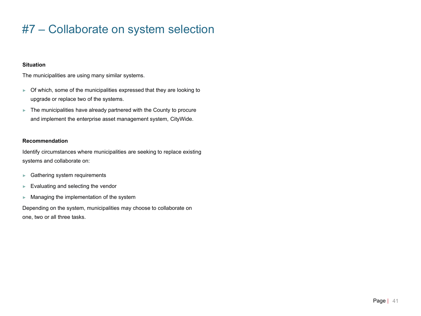### #7 – Collaborate on system selection

#### **Situation**

The municipalities are using many similar systems.

- ► Of which, some of the municipalities expressed that they are looking to upgrade or replace two of the systems.
- ► The municipalities have already partnered with the County to procure and implement the enterprise asset management system, CityWide.

#### **Recommendation**

Identify circumstances where municipalities are seeking to replace existing systems and collaborate on:

- ► Gathering system requirements
- ► Evaluating and selecting the vendor
- ► Managing the implementation of the system

Depending on the system, municipalities may choose to collaborate on one, two or all three tasks.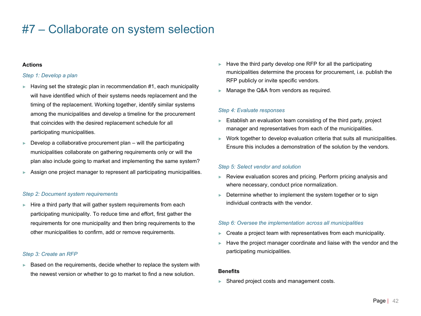### #7 – Collaborate on system selection

#### **Actions**

#### *Step 1: Develop a plan*

- Having set the strategic plan in recommendation #1, each municipality will have identified which of their systems needs replacement and the timing of the replacement. Working together, identify similar systems among the municipalities and develop a timeline for the procurement that coincides with the desired replacement schedule for all participating municipalities.
- $\blacktriangleright$  Develop a collaborative procurement plan will the participating municipalities collaborate on gathering requirements only or will the plan also include going to market and implementing the same system?
- Assign one project manager to represent all participating municipalities.

#### *Step 2: Document system requirements*

Hire a third party that will gather system requirements from each participating municipality. To reduce time and effort, first gather the requirements for one municipality and then bring requirements to the other municipalities to confirm, add or remove requirements.

#### *Step 3: Create an RFP*

Based on the requirements, decide whether to replace the system with the newest version or whether to go to market to find a new solution.

- Have the third party develop one RFP for all the participating municipalities determine the process for procurement, i.e. publish the RFP publicly or invite specific vendors.
- ► Manage the Q&A from vendors as required.

#### *Step 4: Evaluate responses*

- Establish an evaluation team consisting of the third party, project manager and representatives from each of the municipalities.
- ► Work together to develop evaluation criteria that suits all municipalities. Ensure this includes a demonstration of the solution by the vendors.

#### *Step 5: Select vendor and solution*

- ► Review evaluation scores and pricing. Perform pricing analysis and where necessary, conduct price normalization.
- Determine whether to implement the system together or to sign individual contracts with the vendor.

#### *Step 6: Oversee the implementation across all municipalities*

- ► Create a project team with representatives from each municipality.
- Have the project manager coordinate and liaise with the vendor and the participating municipalities.

#### **Benefits**

► Shared project costs and management costs.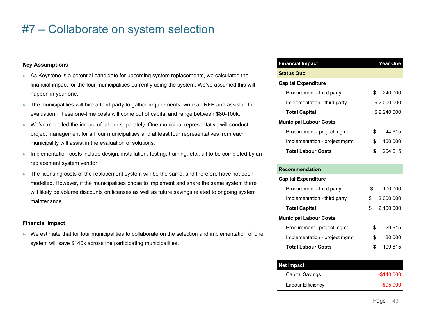### #7 – Collaborate on system selection

#### **Key Assumptions**

- ► As Keystone is a potential candidate for upcoming system replacements, we calculated the financial impact for the four municipalities currently using the system. We've assumed this will happen in year one.
- ► The municipalities will hire a third party to gather requirements, write an RFP and assist in the evaluation. These one-time costs will come out of capital and range between \$80-100k.
- ► We've modelled the impact of labour separately. One municipal representative will conduct project management for all four municipalities and at least four representatives from each municipality will assist in the evaluation of solutions.
- ► Implementation costs include design, installation, testing, training, etc., all to be completed by an replacement system vendor.
- ► The licensing costs of the replacement system will be the same, and therefore have not been modelled. However, if the municipalities chose to implement and share the same system there will likely be volume discounts on licenses as well as future savings related to ongoing system maintenance.

#### **Financial Impact**

► We estimate that for four municipalities to collaborate on the selection and implementation of one system will save \$140k across the participating municipalities.

| <b>Financial Impact</b>        | Year One        |
|--------------------------------|-----------------|
| <b>Status Quo</b>              |                 |
| <b>Capital Expenditure</b>     |                 |
| Procurement - third party      | \$<br>240,000   |
| Implementation - third party   | \$2,000,000     |
| <b>Total Capital</b>           | \$2,240,000     |
| <b>Municipal Labour Costs</b>  |                 |
| Procurement - project mgmt.    | \$<br>44,615    |
| Implementation - project mgmt. | \$<br>160,000   |
| <b>Total Labour Costs</b>      | \$<br>204,615   |
|                                |                 |
| <b>Recommendation</b>          |                 |
| <b>Capital Expenditure</b>     |                 |
| Procurement - third party      | \$<br>100,000   |
| Implementation - third party   | \$<br>2,000,000 |
| <b>Total Capital</b>           | \$<br>2,100,000 |
| <b>Municipal Labour Costs</b>  |                 |
| Procurement - project mgmt.    | \$<br>29,615    |
| Implementation - project mgmt. | \$<br>80,000    |
| <b>Total Labour Costs</b>      | \$<br>109,615   |
|                                |                 |
| <b>Net Impact</b>              |                 |
| <b>Capital Savings</b>         | $-$140,000$     |
| Labour Efficiency              | $-$ \$95,000    |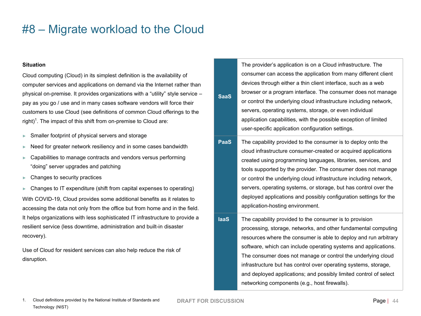#### **Situation**

Cloud computing (Cloud) in its simplest definition is the availability of computer services and applications on demand via the Internet rather than physical on-premise. It provides organizations with a "utility" style service – pay as you go / use and in many cases software vendors will force their customers to use Cloud (see definitions of common Cloud offerings to the right)<sup>1</sup>. The impact of this shift from on-premise to Cloud are:

- Smaller footprint of physical servers and storage
- Need for greater network resiliency and in some cases bandwidth
- Capabilities to manage contracts and vendors versus performing "doing" server upgrades and patching
- Changes to security practices
- Changes to IT expenditure (shift from capital expenses to operating) With COVID-19, Cloud provides some additional benefits as it relates to accessing the data not only from the office but from home and in the field. It helps organizations with less sophisticated IT infrastructure to provide a resilient service (less downtime, administration and built-in disaster recovery).

Use of Cloud for resident services can also help reduce the risk of disruption.

|             | The provider's application is on a Cloud infrastructure. The      |
|-------------|-------------------------------------------------------------------|
| <b>SaaS</b> | consumer can access the application from many different client    |
|             | devices through either a thin client interface, such as a web     |
|             | browser or a program interface. The consumer does not manage      |
|             | or control the underlying cloud infrastructure including network, |
|             | servers, operating systems, storage, or even individual           |
|             | application capabilities, with the possible exception of limited  |
|             | user-specific application configuration settings.                 |

- **PaaS** The capability provided to the consumer is to deploy onto the cloud infrastructure consumer-created or acquired applications created using programming languages, libraries, services, and tools supported by the provider. The consumer does not manage or control the underlying cloud infrastructure including network, servers, operating systems, or storage, but has control over the deployed applications and possibly configuration settings for the application-hosting environment.
- **IaaS** The capability provided to the consumer is to provision processing, storage, networks, and other fundamental computing resources where the consumer is able to deploy and run arbitrary software, which can include operating systems and applications. The consumer does not manage or control the underlying cloud infrastructure but has control over operating systems, storage, and deployed applications; and possibly limited control of select networking components (e.g., host firewalls).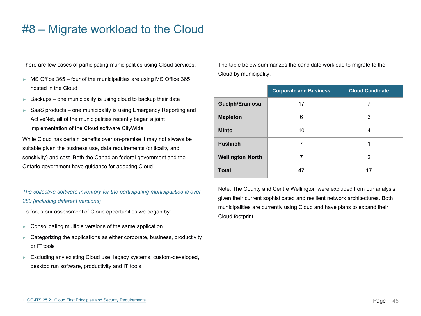► Excluding any existing Cloud use, legacy systems, custom-developed, desktop run software, productivity and IT tools

Categorizing the applications as either corporate, business, productivity

- 
- ► Consolidating multiple versions of the same application
- To focus our assessment of Cloud opportunities we began by:
- *280 (including different versions)*
- *The collective software inventory for the participating municipalities is over*

or IT tools

hosted in the Cloud

ActiveNet, all of the municipalities recently began a joint

Ontario government have guidance for adopting Cloud<sup>1</sup>.

implementation of the Cloud software CityWide While Cloud has certain benefits over on-premise it may not always be suitable given the business use, data requirements (criticality and

sensitivity) and cost. Both the Canadian federal government and the

There are few cases of participating municipalities using Cloud services:

#8 – Migrate workload to the Cloud

► MS Office 365 – four of the municipalities are using MS Office 365

 $\blacktriangleright$  Backups – one municipality is using cloud to backup their data SaaS products – one municipality is using Emergency Reporting and

The table below summarizes the candidate workload to migrate to the Cloud by municipality:

|                         | <b>Corporate and Business</b> | <b>Cloud Candidate</b> |  |
|-------------------------|-------------------------------|------------------------|--|
| Guelph/Eramosa          | 17                            | 7                      |  |
| <b>Mapleton</b>         | 6                             | 3                      |  |
| <b>Minto</b>            | 10                            | 4                      |  |
| <b>Puslinch</b>         | 7                             |                        |  |
| <b>Wellington North</b> | 7                             | 2                      |  |
| <b>Total</b>            | 47                            | 17                     |  |

Note: The County and Centre Wellington were excluded from our analysis given their current sophisticated and resilient network architectures. Both municipalities are currently using Cloud and have plans to expand their Cloud footprint.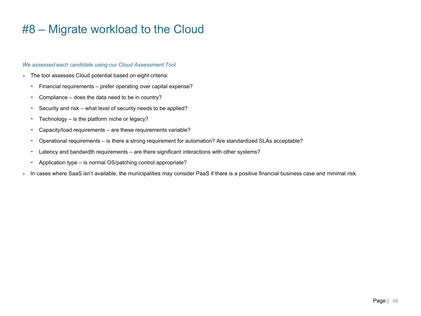#### *We assessed each candidate using our Cloud Assessment Tool*

- ► The tool assesses Cloud potential based on eight criteria:
	- Financial requirements prefer operating over capital expense?
	- Compliance does the data need to be in country?
	- Security and risk what level of security needs to be applied?
	- Technology is the platform niche or legacy?
	- Capacity/load requirements are these requirements variable?
	- Operational requirements is there a strong requirement for automation? Are standardized SLAs acceptable?
	- Latency and bandwidth requirements are there significant interactions with other systems?
	- Application type is normal OS/patching control appropriate?
- ► In cases where SaaS isn't available, the municipalities may consider PaaS if there is a positive financial business case and minimal risk.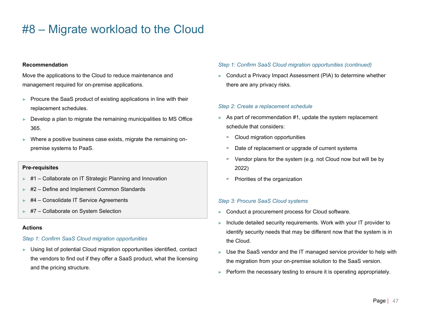#### **Recommendation**

Move the applications to the Cloud to reduce maintenance and management required for on-premise applications.

- ► Procure the SaaS product of existing applications in line with their replacement schedules.
- $\blacktriangleright$  Develop a plan to migrate the remaining municipalities to MS Office 365.
- Where a positive business case exists, migrate the remaining onpremise systems to PaaS.

#### **Pre-requisites**

- ► #1 Collaborate on IT Strategic Planning and Innovation
- ► #2 Define and Implement Common Standards
- ► #4 Consolidate IT Service Agreements
- ► #7 Collaborate on System Selection

#### **Actions**

#### *Step 1: Confirm SaaS Cloud migration opportunities*

► Using list of potential Cloud migration opportunities identified, contact the vendors to find out if they offer a SaaS product, what the licensing and the pricing structure.

#### *Step 1: Confirm SaaS Cloud migration opportunities (continued)*

► Conduct a Privacy Impact Assessment (PIA) to determine whether there are any privacy risks.

#### *Step 2: Create a replacement schedule*

- $\blacktriangleright$  As part of recommendation #1, update the system replacement schedule that considers:
	- Cloud migration opportunities
	- Date of replacement or upgrade of current systems
	- Vendor plans for the system (e.g. not Cloud now but will be by 2022)
	- Priorities of the organization

#### *Step 3: Procure SaaS Cloud systems*

- ► Conduct a procurement process for Cloud software.
- ► Include detailed security requirements. Work with your IT provider to identify security needs that may be different now that the system is in the Cloud.
- ► Use the SaaS vendor and the IT managed service provider to help with the migration from your on-premise solution to the SaaS version.
- ► Perform the necessary testing to ensure it is operating appropriately.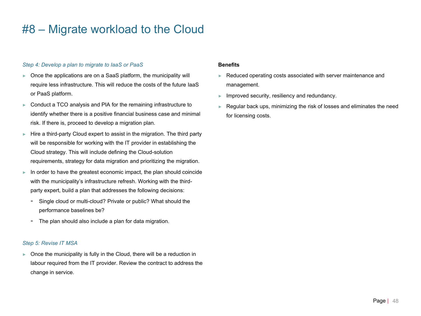#### *Step 4: Develop a plan to migrate to IaaS or PaaS*

- ► Once the applications are on a SaaS platform, the municipality will require less infrastructure. This will reduce the costs of the future IaaS or PaaS platform.
- ► Conduct a TCO analysis and PIA for the remaining infrastructure to identify whether there is a positive financial business case and minimal risk. If there is, proceed to develop a migration plan.
- ► Hire a third-party Cloud expert to assist in the migration. The third party will be responsible for working with the IT provider in establishing the Cloud strategy. This will include defining the Cloud-solution requirements, strategy for data migration and prioritizing the migration.
- ► In order to have the greatest economic impact, the plan should coincide with the municipality's infrastructure refresh. Working with the thirdparty expert, build a plan that addresses the following decisions:
	- Single cloud or multi-cloud? Private or public? What should the performance baselines be?
	- The plan should also include a plan for data migration.

#### *Step 5: Revise IT MSA*

► Once the municipality is fully in the Cloud, there will be a reduction in labour required from the IT provider. Review the contract to address the change in service.

#### **Benefits**

- ► Reduced operating costs associated with server maintenance and management.
- ► Improved security, resiliency and redundancy.
- Regular back ups, minimizing the risk of losses and eliminates the need for licensing costs.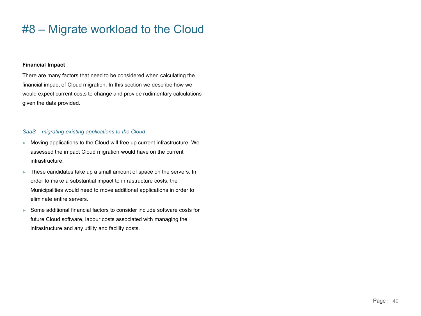#### **Financial Impact**

There are many factors that need to be considered when calculating the financial impact of Cloud migration. In this section we describe how we would expect current costs to change and provide rudimentary calculations given the data provided.

#### *SaaS – migrating existing applications to the Cloud*

- ► Moving applications to the Cloud will free up current infrastructure. We assessed the impact Cloud migration would have on the current infrastructure.
- ► These candidates take up a small amount of space on the servers. In order to make a substantial impact to infrastructure costs, the Municipalities would need to move additional applications in order to eliminate entire servers.
- ► Some additional financial factors to consider include software costs for future Cloud software, labour costs associated with managing the infrastructure and any utility and facility costs.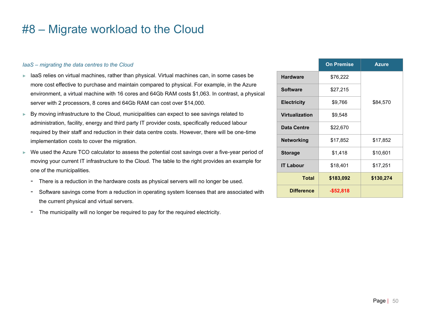#### *IaaS – migrating the data centres to the Cloud*

- ► IaaS relies on virtual machines, rather than physical. Virtual machines can, in some cases be more cost effective to purchase and maintain compared to physical. For example, in the Azure environment, a virtual machine with 16 cores and 64Gb RAM costs \$1,063. In contrast, a physical server with 2 processors, 8 cores and 64Gb RAM can cost over \$14,000.
- ► By moving infrastructure to the Cloud, municipalities can expect to see savings related to administration, facility, energy and third party IT provider costs, specifically reduced labour required by their staff and reduction in their data centre costs. However, there will be one-time implementation costs to cover the migration.
- ► We used the Azure TCO calculator to assess the potential cost savings over a five-year period of moving your current IT infrastructure to the Cloud. The table to the right provides an example for one of the municipalities.
	- There is a reduction in the hardware costs as physical servers will no longer be used.
	- Software savings come from a reduction in operating system licenses that are associated with the current physical and virtual servers.
	- The municipality will no longer be required to pay for the required electricity.

|                    | <b>On Premise</b> | <b>Azure</b> |
|--------------------|-------------------|--------------|
| <b>Hardware</b>    | \$76,222          |              |
| <b>Software</b>    | \$27,215          |              |
| <b>Electricity</b> | \$9,766           | \$84,570     |
| Virtualization     | \$9,548           |              |
| Data Centre        | \$22,670          |              |
| <b>Networking</b>  | \$17,852          | \$17,852     |
| <b>Storage</b>     | \$1,418           | \$10,601     |
| <b>IT Labour</b>   | \$18,401          | \$17,251     |
| <b>Total</b>       | \$183,092         | \$130,274    |
| <b>Difference</b>  | $-$52,818$        |              |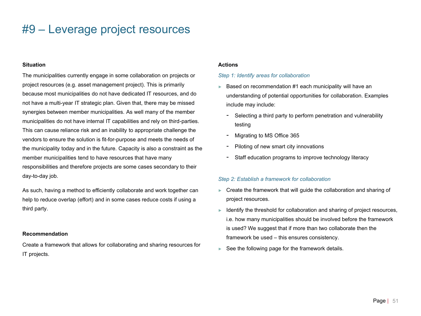### #9 – Leverage project resources

#### **Situation**

The municipalities currently engage in some collaboration on projects or project resources (e.g. asset management project). This is primarily because most municipalities do not have dedicated IT resources, and do not have a multi-year IT strategic plan. Given that, there may be missed synergies between member municipalities. As well many of the member municipalities do not have internal IT capabilities and rely on third-parties. This can cause reliance risk and an inability to appropriate challenge the vendors to ensure the solution is fit-for-purpose and meets the needs of the municipality today and in the future. Capacity is also a constraint as the member municipalities tend to have resources that have many responsibilities and therefore projects are some cases secondary to their day-to-day job.

As such, having a method to efficiently collaborate and work together can help to reduce overlap (effort) and in some cases reduce costs if using a third party.

#### **Recommendation**

Create a framework that allows for collaborating and sharing resources for IT projects.

#### **Actions**

#### *Step 1: Identify areas for collaboration*

- ► Based on recommendation #1 each municipality will have an understanding of potential opportunities for collaboration. Examples include may include:
	- Selecting a third party to perform penetration and vulnerability testing
	- Migrating to MS Office 365
	- Piloting of new smart city innovations
	- Staff education programs to improve technology literacy

#### *Step 2: Establish a framework for collaboration*

- ► Create the framework that will guide the collaboration and sharing of project resources.
- ► Identify the threshold for collaboration and sharing of project resources, i.e. how many municipalities should be involved before the framework is used? We suggest that if more than two collaborate then the framework be used – this ensures consistency.
- $\blacktriangleright$  See the following page for the framework details.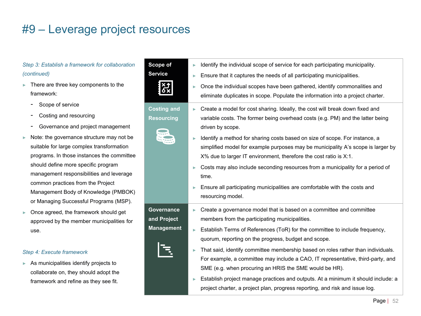### #9 – Leverage project resources

#### *Step 3: Establish a framework for collaboration (continued)*

- ► There are three key components to the framework:
	- Scope of service
	- Costing and resourcing
	- Governance and project management
- ► Note: the governance structure may not be suitable for large complex transformation programs. In those instances the committee should define more specific program management responsibilities and leverage common practices from the Project Management Body of Knowledge (PMBOK) or Managing Successful Programs (MSP).
- ► Once agreed, the framework should get approved by the member municipalities for use.

#### *Step 4: Execute framework*

► As municipalities identify projects to collaborate on, they should adopt the framework and refine as they see fit.

| Scope of<br><b>Service</b>                     | Identify the individual scope of service for each participating municipality.<br>ь<br>Ensure that it captures the needs of all participating municipalities.<br>Once the individual scopes have been gathered, identify commonalities and<br>eliminate duplicates in scope. Populate the information into a project charter.                                                                                                                                                                                                                                                                                                                                        |
|------------------------------------------------|---------------------------------------------------------------------------------------------------------------------------------------------------------------------------------------------------------------------------------------------------------------------------------------------------------------------------------------------------------------------------------------------------------------------------------------------------------------------------------------------------------------------------------------------------------------------------------------------------------------------------------------------------------------------|
| <b>Costing and</b><br><b>Resourcing</b>        | Create a model for cost sharing. Ideally, the cost will break down fixed and<br>variable costs. The former being overhead costs (e.g. PM) and the latter being<br>driven by scope.<br>Identify a method for sharing costs based on size of scope. For instance, a<br>simplified model for example purposes may be municipality A's scope is larger by<br>X% due to larger IT environment, therefore the cost ratio is X:1.<br>Costs may also include seconding resources from a municipality for a period of<br>time.<br>Ensure all participating municipalities are comfortable with the costs and<br>resourcing model.                                            |
| Governance<br>and Project<br><b>Management</b> | Create a governance model that is based on a committee and committee<br>members from the participating municipalities.<br>Establish Terms of References (ToR) for the committee to include frequency,<br>quorum, reporting on the progress, budget and scope.<br>That said, identify committee membership based on roles rather than individuals.<br>For example, a committee may include a CAO, IT representative, third-party, and<br>SME (e.g. when procuring an HRIS the SME would be HR).<br>Establish project manage practices and outputs. At a minimum it should include: a<br>project charter, a project plan, progress reporting, and risk and issue log. |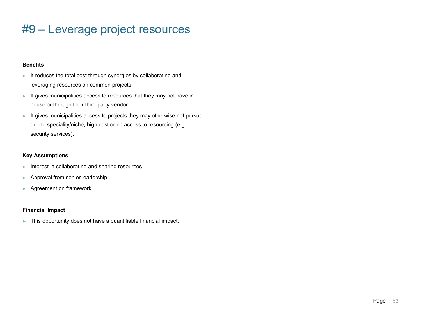### #9 – Leverage project resources

#### **Benefits**

- ► It reduces the total cost through synergies by collaborating and leveraging resources on common projects.
- ► It gives municipalities access to resources that they may not have inhouse or through their third-party vendor.
- ► It gives municipalities access to projects they may otherwise not pursue due to speciality/niche, high cost or no access to resourcing (e.g. security services).

#### **Key Assumptions**

- ► Interest in collaborating and sharing resources.
- ► Approval from senior leadership.
- ► Agreement on framework.

#### **Financial Impact**

► This opportunity does not have a quantifiable financial impact.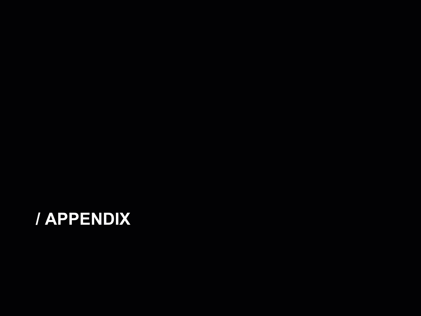# **/ APPENDIX**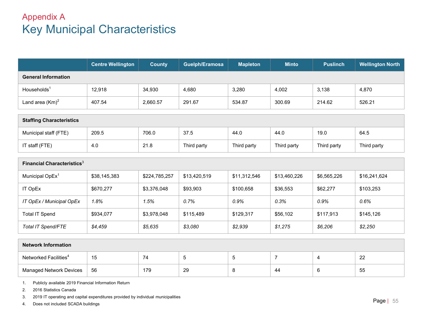### Appendix A Key Municipal Characteristics

|                                        | <b>Centre Wellington</b> | <b>County</b> | Guelph/Eramosa | <b>Mapleton</b> | <b>Minto</b>   | <b>Puslinch</b> | <b>Wellington North</b> |  |  |
|----------------------------------------|--------------------------|---------------|----------------|-----------------|----------------|-----------------|-------------------------|--|--|
| <b>General Information</b>             |                          |               |                |                 |                |                 |                         |  |  |
| Households <sup>1</sup>                | 12,918                   | 34,930        | 4,680          | 3,280           | 4,002          | 3,138           | 4,870                   |  |  |
| Land area $(Km)^2$                     | 407.54                   | 2,660.57      | 291.67         | 534.87          | 300.69         | 214.62          | 526.21                  |  |  |
|                                        |                          |               |                |                 |                |                 |                         |  |  |
| <b>Staffing Characteristics</b>        |                          |               |                |                 |                |                 |                         |  |  |
| Municipal staff (FTE)                  | 209.5                    | 706.0         | 37.5           | 44.0            | 44.0           | 19.0            | 64.5                    |  |  |
| IT staff (FTE)                         | 4.0                      | 21.8          | Third party    | Third party     | Third party    | Third party     | Third party             |  |  |
|                                        |                          |               |                |                 |                |                 |                         |  |  |
| Financial Characteristics <sup>3</sup> |                          |               |                |                 |                |                 |                         |  |  |
| Municipal OpEx <sup>1</sup>            | \$38,145,383             | \$224,785,257 | \$13,420,519   | \$11,312,546    | \$13,460,226   | \$6,565,226     | \$16,241,624            |  |  |
| IT OpEx                                | \$670,277                | \$3,376,048   | \$93,903       | \$100,658       | \$36,553       | \$62,277        | \$103,253               |  |  |
| IT OpEx / Municipal OpEx               | 1.8%                     | 1.5%          | 0.7%           | 0.9%            | 0.3%           | 0.9%            | 0.6%                    |  |  |
| <b>Total IT Spend</b>                  | \$934,077                | \$3,978,048   | \$115,489      | \$129,317       | \$56,102       | \$117,913       | \$145,126               |  |  |
| Total IT Spend/FTE                     | \$4,459                  | \$5,635       | \$3,080        | \$2,939         | \$1,275        | \$6,206         | \$2,250                 |  |  |
|                                        |                          |               |                |                 |                |                 |                         |  |  |
| <b>Network Information</b>             |                          |               |                |                 |                |                 |                         |  |  |
| Networked Facilities <sup>4</sup>      | 15                       | 74            | 5              | 5               | $\overline{7}$ | 4               | 22                      |  |  |
| <b>Managed Network Devices</b>         | 56                       | 179           | 29             | 8               | 44             | 6               | 55                      |  |  |

1. Publicly available 2019 Financial Information Return

2. 2016 Statistics Canada

3. 2019 IT operating and capital expenditures provided by individual municipalities

4. Does not included SCADA buildings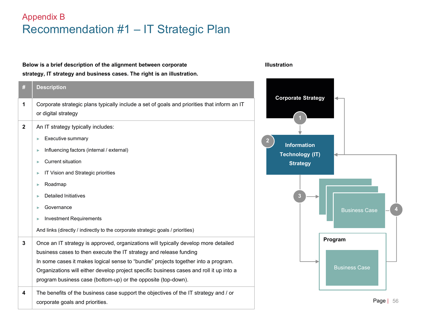### Appendix B Recommendation #1 – IT Strategic Plan

#### Page | **Below is a brief description of the alignment between corporate strategy, IT strategy and business cases. The right is an illustration.** 56 **# Description 1** Corporate strategic plans typically include a set of goals and priorities that inform an IT or digital strategy **2** An IT strategy typically includes: ► Executive summary ► Influencing factors (internal / external) ► Current situation ► IT Vision and Strategic priorities ► Roadmap ► Detailed Initiatives ► Governance ► Investment Requirements And links (directly / indirectly to the corporate strategic goals / priorities) **3** Once an IT strategy is approved, organizations will typically develop more detailed business cases to then execute the IT strategy and release funding In some cases it makes logical sense to "bundle" projects together into a program. Organizations will either develop project specific business cases and roll it up into a program business case (bottom-up) or the opposite (top-down). **4** The benefits of the business case support the objectives of the IT strategy and / or corporate goals and priorities. **Illustration Corporate Strategy Information Technology (IT) Strategy** Business Case Business Case **Program** Business Case **2 3 4**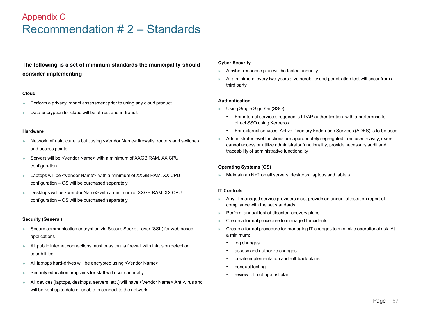### Appendix C Recommendation # 2 – Standards

### **The following is a set of minimum standards the municipality should consider implementing**

#### **Cloud**

- ► Perform a privacy impact assessment prior to using any cloud product
- ► Data encryption for cloud will be at-rest and in-transit

#### **Hardware**

- ► Network infrastructure is built using <Vendor Name> firewalls, routers and switches and access points
- ► Servers will be <Vendor Name> with a minimum of XXGB RAM, XX CPU configuration
- ► Laptops will be <Vendor Name> with a minimum of XXGB RAM, XX CPU configuration – OS will be purchased separately
- ► Desktops will be <Vendor Name> with a minimum of XXGB RAM, XX CPU configuration – OS will be purchased separately

#### **Security (General)**

- ► Secure communication encryption via Secure Socket Layer (SSL) for web based applications
- ► All public Internet connections must pass thru a firewall with intrusion detection capabilities
- ► All laptops hard-drives will be encrypted using <Vendor Name>
- ► Security education programs for staff will occur annually
- ► All devices (laptops, desktops, servers, etc.) will have <Vendor Name> Anti-virus and will be kept up to date or unable to connect to the network

#### **Cyber Security**

- ► A cyber response plan will be tested annually
- At a minimum, every two years a vulnerability and penetration test will occur from a third party

#### **Authentication**

- ► Using Single Sign-On (SSO)
	- For internal services, required is LDAP authentication, with a preference for direct SSO using Kerberos
	- For external services, Active Directory Federation Services (ADFS) is to be used
- Administrator level functions are appropriately segregated from user activity, users cannot access or utilize administrator functionality, provide necessary audit and traceability of administrative functionality

#### **Operating Systems (OS)**

► Maintain an N+2 on all servers, desktops, laptops and tablets

#### **IT Controls**

- Any IT managed service providers must provide an annual attestation report of compliance with the set standards
- Perform annual test of disaster recovery plans
- Create a formal procedure to manage IT incidents
- ► Create a formal procedure for managing IT changes to minimize operational risk. At a minimum:
	- log changes
	- assess and authorize changes
	- create implementation and roll-back plans
	- conduct testing
	- review roll-out against plan